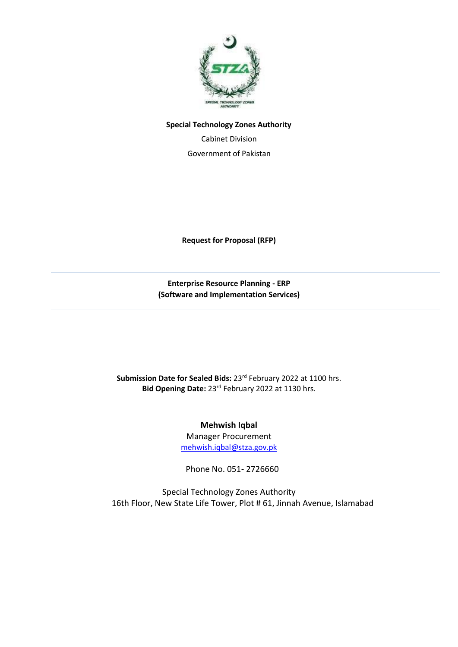

#### **Special Technology Zones Authority**

Cabinet Division Government of Pakistan

**Request for Proposal (RFP)** 

**Enterprise Resource Planning - ERP (Software and Implementation Services)**

Submission Date for Sealed Bids: 23<sup>rd</sup> February 2022 at 1100 hrs. Bid Opening Date: 23<sup>rd</sup> February 2022 at 1130 hrs.

> **Mehwish Iqbal** Manager Procurement [mehwish.iqbal@stza.gov.pk](mailto:mehwish.iqbal@stza.gov.pk)

Phone No. 051- 2726660

16th Floor, New State Life Tower, Plot # 61, Jinnah Avenue, Islamabad Special Technology Zones Authority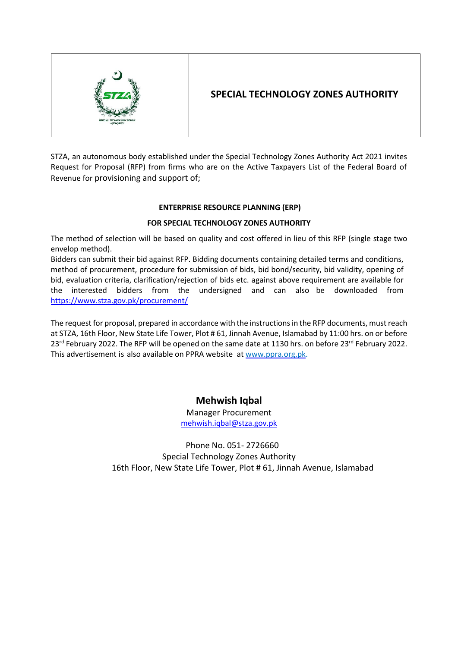

# **SPECIAL TECHNOLOGY ZONES AUTHORITY**

STZA, an autonomous body established under the Special Technology Zones Authority Act 2021 invites Request for Proposal (RFP) from firms who are on the Active Taxpayers List of the Federal Board of Revenue for provisioning and support of;

### **ENTERPRISE RESOURCE PLANNING (ERP)**

### **FOR SPECIAL TECHNOLOGY ZONES AUTHORITY**

The method of selection will be based on quality and cost offered in lieu of this RFP (single stage two envelop method).

Bidders can submit their bid against RFP. Bidding documents containing detailed terms and conditions, method of procurement, procedure for submission of bids, bid bond/security, bid validity, opening of bid, evaluation criteria, clarification/rejection of bids etc. against above requirement are available for the interested bidders from the undersigned and can also be downloaded from <https://www.stza.gov.pk/procurement/>

The request for proposal, prepared in accordance with the instructions in the RFP documents, must reach at STZA, 16th Floor, New State Life Tower, Plot # 61, Jinnah Avenue, Islamabad by 11:00 hrs. on or before 23<sup>rd</sup> February 2022. The RFP will be opened on the same date at 1130 hrs. on before 23<sup>rd</sup> February 2022. This advertisement is also available on PPRA website at [www.ppra.org.pk.](http://www.ppra.org.pk/)

# **Mehwish Iqbal**

Manager Procurement [mehwish.iqbal@stza.gov.pk](mailto:mehwish.iqbal@stza.gov.pk)

16th Floor, New State Life Tower, Plot # 61, Jinnah Avenue, Islamabad Phone No. 051- 2726660 Special Technology Zones Authority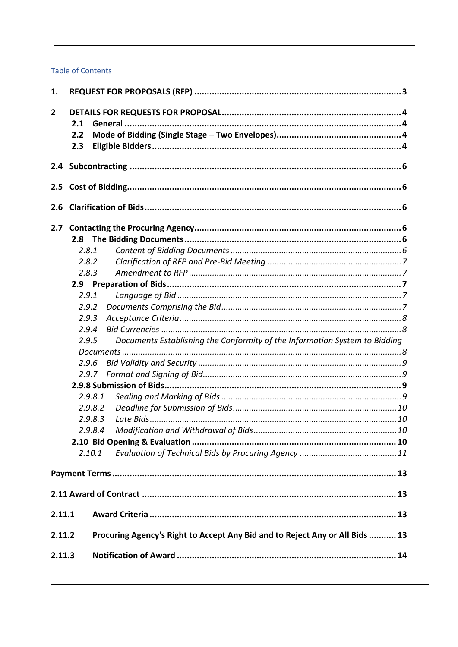### **Table of Contents**

| 1.           |         |                                                                              |  |
|--------------|---------|------------------------------------------------------------------------------|--|
| $\mathbf{2}$ |         |                                                                              |  |
|              | 2.1     |                                                                              |  |
|              | 2.2     |                                                                              |  |
|              | 2.3     |                                                                              |  |
|              |         |                                                                              |  |
|              |         |                                                                              |  |
|              |         |                                                                              |  |
| 2.6          |         |                                                                              |  |
| 2.7          |         |                                                                              |  |
|              | 2.8     |                                                                              |  |
|              | 2.8.1   |                                                                              |  |
|              | 2.8.2   |                                                                              |  |
|              | 2.8.3   |                                                                              |  |
|              |         |                                                                              |  |
|              | 2.9.1   |                                                                              |  |
|              | 2.9.2   |                                                                              |  |
|              | 2.9.3   |                                                                              |  |
|              | 2.9.4   |                                                                              |  |
|              | 2.9.5   | Documents Establishing the Conformity of the Information System to Bidding   |  |
|              |         |                                                                              |  |
|              | 2.9.6   |                                                                              |  |
|              | 2.9.7   |                                                                              |  |
|              |         |                                                                              |  |
|              | 2.9.8.1 |                                                                              |  |
|              | 2.9.8.2 |                                                                              |  |
|              | 2.9.8.3 |                                                                              |  |
|              |         |                                                                              |  |
|              |         |                                                                              |  |
|              | 2.10.1  |                                                                              |  |
|              |         |                                                                              |  |
|              |         |                                                                              |  |
| 2.11.1       |         |                                                                              |  |
| 2.11.2       |         | Procuring Agency's Right to Accept Any Bid and to Reject Any or All Bids  13 |  |
| 2.11.3       |         |                                                                              |  |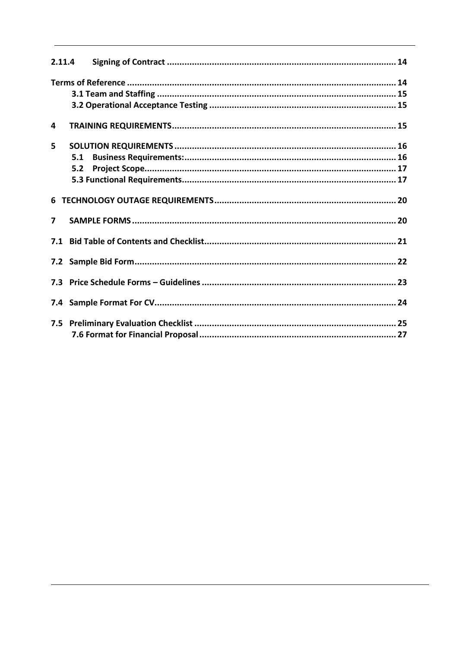| 2.11.4         |     |  |
|----------------|-----|--|
|                |     |  |
|                |     |  |
|                |     |  |
| 4              |     |  |
| 5.             |     |  |
|                | 5.1 |  |
|                | 5.2 |  |
|                |     |  |
|                |     |  |
| $\overline{ }$ |     |  |
|                |     |  |
|                |     |  |
|                |     |  |
|                |     |  |
|                |     |  |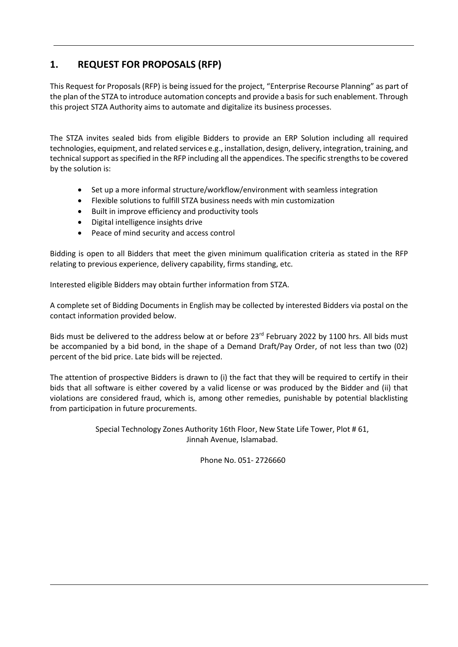# <span id="page-4-0"></span>**1. REQUEST FOR PROPOSALS (RFP)**

This Request for Proposals (RFP) is being issued for the project, "Enterprise Recourse Planning" as part of the plan of the STZA to introduce automation concepts and provide a basis for such enablement. Through this project STZA Authority aims to automate and digitalize its business processes.

The STZA invites sealed bids from eligible Bidders to provide an ERP Solution including all required technologies, equipment, and related services e.g., installation, design, delivery, integration, training, and technical support as specified in the RFP including all the appendices. The specific strengths to be covered by the solution is:

- Set up a more informal structure/workflow/environment with seamless integration
- Flexible solutions to fulfill STZA business needs with min customization
- Built in improve efficiency and productivity tools
- Digital intelligence insights drive
- Peace of mind security and access control

Bidding is open to all Bidders that meet the given minimum qualification criteria as stated in the RFP relating to previous experience, delivery capability, firms standing, etc.

Interested eligible Bidders may obtain further information from STZA.

A complete set of Bidding Documents in English may be collected by interested Bidders via postal on the contact information provided below.

Bids must be delivered to the address below at or before 23<sup>rd</sup> February 2022 by 1100 hrs. All bids must be accompanied by a bid bond, in the shape of a Demand Draft/Pay Order, of not less than two (02) percent of the bid price. Late bids will be rejected.

The attention of prospective Bidders is drawn to (i) the fact that they will be required to certify in their bids that all software is either covered by a valid license or was produced by the Bidder and (ii) that violations are considered fraud, which is, among other remedies, punishable by potential blacklisting from participation in future procurements.

> Special Technology Zones Authority 16th Floor, New State Life Tower, Plot # 61, Jinnah Avenue, Islamabad.

> > Phone No. 051- 2726660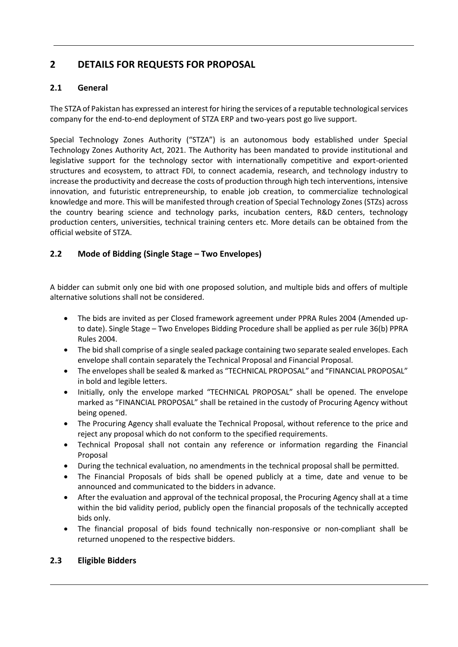# <span id="page-5-0"></span>**2 DETAILS FOR REQUESTS FOR PROPOSAL**

# <span id="page-5-1"></span>**2.1 General**

The STZA of Pakistan has expressed an interest for hiring the services of a reputable technological services company for the end-to-end deployment of STZA ERP and two-years post go live support.

Special Technology Zones Authority ("STZA") is an autonomous body established under Special Technology Zones Authority Act, 2021. The Authority has been mandated to provide institutional and legislative support for the technology sector with internationally competitive and export-oriented structures and ecosystem, to attract FDI, to connect academia, research, and technology industry to increase the productivity and decrease the costs of production through high tech interventions, intensive innovation, and futuristic entrepreneurship, to enable job creation, to commercialize technological knowledge and more. This will be manifested through creation of Special Technology Zones (STZs) across the country bearing science and technology parks, incubation centers, R&D centers, technology production centers, universities, technical training centers etc. More details can be obtained from the official website of STZA.

# <span id="page-5-2"></span>**2.2 Mode of Bidding (Single Stage – Two Envelopes)**

A bidder can submit only one bid with one proposed solution, and multiple bids and offers of multiple alternative solutions shall not be considered.

- The bids are invited as per Closed framework agreement under PPRA Rules 2004 (Amended upto date). Single Stage – Two Envelopes Bidding Procedure shall be applied as per rule 36(b) PPRA Rules 2004.
- The bid shall comprise of a single sealed package containing two separate sealed envelopes. Each envelope shall contain separately the Technical Proposal and Financial Proposal.
- The envelopes shall be sealed & marked as "TECHNICAL PROPOSAL" and "FINANCIAL PROPOSAL" in bold and legible letters.
- Initially, only the envelope marked "TECHNICAL PROPOSAL" shall be opened. The envelope marked as "FINANCIAL PROPOSAL" shall be retained in the custody of Procuring Agency without being opened.
- The Procuring Agency shall evaluate the Technical Proposal, without reference to the price and reject any proposal which do not conform to the specified requirements.
- Technical Proposal shall not contain any reference or information regarding the Financial Proposal
- During the technical evaluation, no amendments in the technical proposal shall be permitted.
- The Financial Proposals of bids shall be opened publicly at a time, date and venue to be announced and communicated to the bidders in advance.
- After the evaluation and approval of the technical proposal, the Procuring Agency shall at a time within the bid validity period, publicly open the financial proposals of the technically accepted bids only.
- The financial proposal of bids found technically non-responsive or non-compliant shall be returned unopened to the respective bidders.

### <span id="page-5-3"></span>**2.3 Eligible Bidders**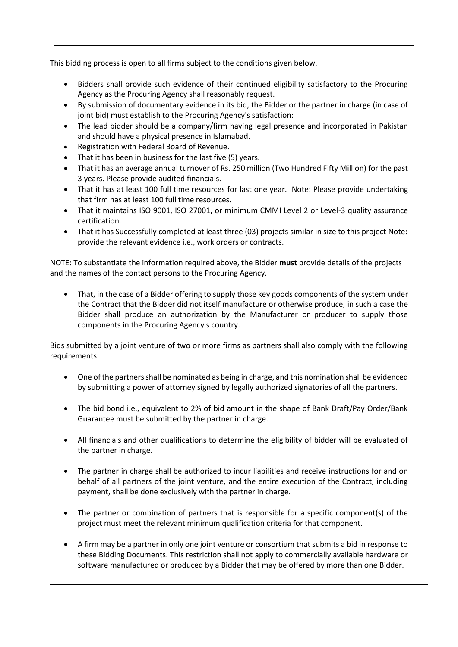This bidding process is open to all firms subject to the conditions given below.

- Bidders shall provide such evidence of their continued eligibility satisfactory to the Procuring Agency as the Procuring Agency shall reasonably request.
- By submission of documentary evidence in its bid, the Bidder or the partner in charge (in case of joint bid) must establish to the Procuring Agency's satisfaction:
- The lead bidder should be a company/firm having legal presence and incorporated in Pakistan and should have a physical presence in Islamabad.
- Registration with Federal Board of Revenue.
- That it has been in business for the last five (5) years.
- That it has an average annual turnover of Rs. 250 million (Two Hundred Fifty Million) for the past 3 years. Please provide audited financials.
- That it has at least 100 full time resources for last one year. Note: Please provide undertaking that firm has at least 100 full time resources.
- That it maintains ISO 9001, ISO 27001, or minimum CMMI Level 2 or Level-3 quality assurance certification.
- That it has Successfully completed at least three (03) projects similar in size to this project Note: provide the relevant evidence i.e., work orders or contracts.

NOTE: To substantiate the information required above, the Bidder **must** provide details of the projects and the names of the contact persons to the Procuring Agency.

• That, in the case of a Bidder offering to supply those key goods components of the system under the Contract that the Bidder did not itself manufacture or otherwise produce, in such a case the Bidder shall produce an authorization by the Manufacturer or producer to supply those components in the Procuring Agency's country.

Bids submitted by a joint venture of two or more firms as partners shall also comply with the following requirements:

- One of the partners shall be nominated as being in charge, and this nomination shall be evidenced by submitting a power of attorney signed by legally authorized signatories of all the partners.
- The bid bond i.e., equivalent to 2% of bid amount in the shape of Bank Draft/Pay Order/Bank Guarantee must be submitted by the partner in charge.
- All financials and other qualifications to determine the eligibility of bidder will be evaluated of the partner in charge.
- The partner in charge shall be authorized to incur liabilities and receive instructions for and on behalf of all partners of the joint venture, and the entire execution of the Contract, including payment, shall be done exclusively with the partner in charge.
- The partner or combination of partners that is responsible for a specific component(s) of the project must meet the relevant minimum qualification criteria for that component.
- A firm may be a partner in only one joint venture or consortium that submits a bid in response to these Bidding Documents. This restriction shall not apply to commercially available hardware or software manufactured or produced by a Bidder that may be offered by more than one Bidder.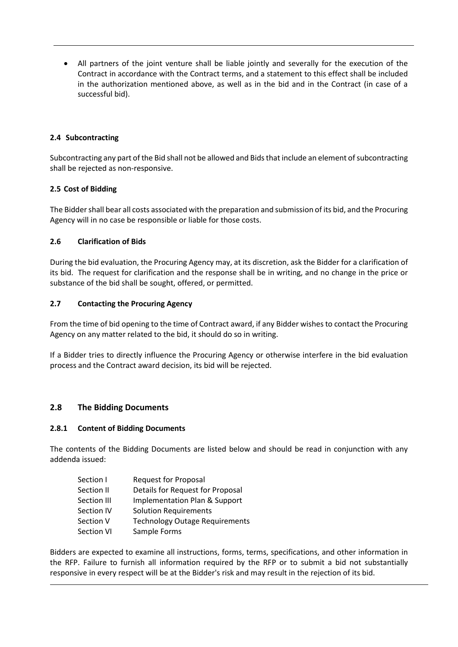• All partners of the joint venture shall be liable jointly and severally for the execution of the Contract in accordance with the Contract terms, and a statement to this effect shall be included in the authorization mentioned above, as well as in the bid and in the Contract (in case of a successful bid).

### <span id="page-7-0"></span>**2.4 Subcontracting**

Subcontracting any part of the Bid shall not be allowed and Bids that include an element of subcontracting shall be rejected as non-responsive.

#### <span id="page-7-1"></span>**2.5 Cost of Bidding**

The Bidder shall bear all costs associated with the preparation and submission of its bid, and the Procuring Agency will in no case be responsible or liable for those costs.

#### <span id="page-7-2"></span>**2.6 Clarification of Bids**

During the bid evaluation, the Procuring Agency may, at its discretion, ask the Bidder for a clarification of its bid. The request for clarification and the response shall be in writing, and no change in the price or substance of the bid shall be sought, offered, or permitted.

#### <span id="page-7-3"></span>**2.7 Contacting the Procuring Agency**

From the time of bid opening to the time of Contract award, if any Bidder wishes to contact the Procuring Agency on any matter related to the bid, it should do so in writing.

If a Bidder tries to directly influence the Procuring Agency or otherwise interfere in the bid evaluation process and the Contract award decision, its bid will be rejected.

### <span id="page-7-4"></span>**2.8 The Bidding Documents**

#### <span id="page-7-5"></span>**2.8.1 Content of Bidding Documents**

The contents of the Bidding Documents are listed below and should be read in conjunction with any addenda issued:

| Section I         | <b>Request for Proposal</b>           |
|-------------------|---------------------------------------|
| Section II        | Details for Request for Proposal      |
| Section III       | Implementation Plan & Support         |
| Section IV        | <b>Solution Requirements</b>          |
| Section V         | <b>Technology Outage Requirements</b> |
| <b>Section VI</b> | Sample Forms                          |

Bidders are expected to examine all instructions, forms, terms, specifications, and other information in the RFP. Failure to furnish all information required by the RFP or to submit a bid not substantially responsive in every respect will be at the Bidder's risk and may result in the rejection of its bid.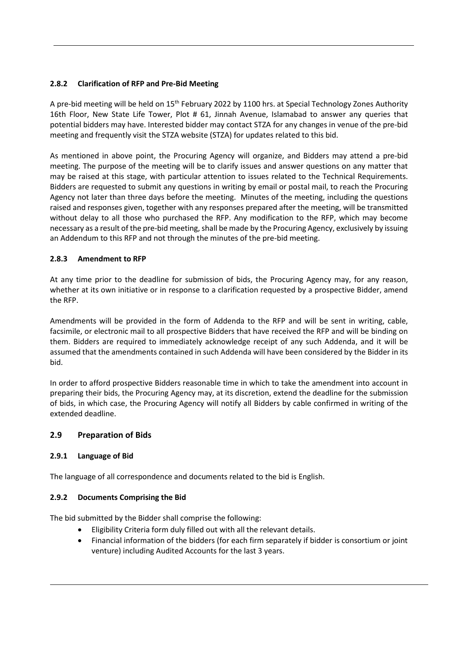### <span id="page-8-0"></span>**2.8.2 Clarification of RFP and Pre-Bid Meeting**

A pre-bid meeting will be held on 15<sup>th</sup> February 2022 by 1100 hrs. at Special Technology Zones Authority 16th Floor, New State Life Tower, Plot # 61, Jinnah Avenue, Islamabad to answer any queries that potential bidders may have. Interested bidder may contact STZA for any changes in venue of the pre-bid meeting and frequently visit the STZA website (STZA) for updates related to this bid.

As mentioned in above point, the Procuring Agency will organize, and Bidders may attend a pre-bid meeting. The purpose of the meeting will be to clarify issues and answer questions on any matter that may be raised at this stage, with particular attention to issues related to the Technical Requirements. Bidders are requested to submit any questions in writing by email or postal mail, to reach the Procuring Agency not later than three days before the meeting. Minutes of the meeting, including the questions raised and responses given, together with any responses prepared after the meeting, will be transmitted without delay to all those who purchased the RFP. Any modification to the RFP, which may become necessary as a result of the pre-bid meeting, shall be made by the Procuring Agency, exclusively by issuing an Addendum to this RFP and not through the minutes of the pre-bid meeting.

### <span id="page-8-1"></span>**2.8.3 Amendment to RFP**

At any time prior to the deadline for submission of bids, the Procuring Agency may, for any reason, whether at its own initiative or in response to a clarification requested by a prospective Bidder, amend the RFP.

Amendments will be provided in the form of Addenda to the RFP and will be sent in writing, cable, facsimile, or electronic mail to all prospective Bidders that have received the RFP and will be binding on them. Bidders are required to immediately acknowledge receipt of any such Addenda, and it will be assumed that the amendments contained in such Addenda will have been considered by the Bidder in its bid.

In order to afford prospective Bidders reasonable time in which to take the amendment into account in preparing their bids, the Procuring Agency may, at its discretion, extend the deadline for the submission of bids, in which case, the Procuring Agency will notify all Bidders by cable confirmed in writing of the extended deadline.

### <span id="page-8-2"></span>**2.9 Preparation of Bids**

### <span id="page-8-3"></span>**2.9.1 Language of Bid**

The language of all correspondence and documents related to the bid is English.

### <span id="page-8-4"></span>**2.9.2 Documents Comprising the Bid**

The bid submitted by the Bidder shall comprise the following:

- Eligibility Criteria form duly filled out with all the relevant details.
- Financial information of the bidders (for each firm separately if bidder is consortium or joint venture) including Audited Accounts for the last 3 years.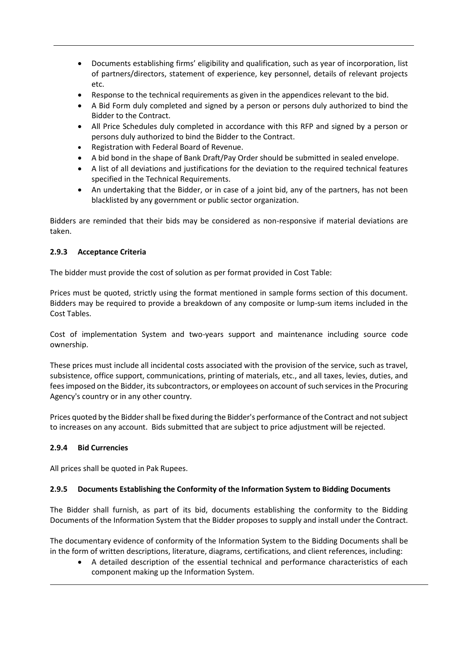- Documents establishing firms' eligibility and qualification, such as year of incorporation, list of partners/directors, statement of experience, key personnel, details of relevant projects etc.
- Response to the technical requirements as given in the appendices relevant to the bid.
- A Bid Form duly completed and signed by a person or persons duly authorized to bind the Bidder to the Contract.
- All Price Schedules duly completed in accordance with this RFP and signed by a person or persons duly authorized to bind the Bidder to the Contract.
- Registration with Federal Board of Revenue.
- A bid bond in the shape of Bank Draft/Pay Order should be submitted in sealed envelope.
- A list of all deviations and justifications for the deviation to the required technical features specified in the Technical Requirements.
- An undertaking that the Bidder, or in case of a joint bid, any of the partners, has not been blacklisted by any government or public sector organization.

Bidders are reminded that their bids may be considered as non-responsive if material deviations are taken.

### <span id="page-9-0"></span>**2.9.3 Acceptance Criteria**

The bidder must provide the cost of solution as per format provided in Cost Table:

Prices must be quoted, strictly using the format mentioned in sample forms section of this document. Bidders may be required to provide a breakdown of any composite or lump-sum items included in the Cost Tables.

Cost of implementation System and two-years support and maintenance including source code ownership.

These prices must include all incidental costs associated with the provision of the service, such as travel, subsistence, office support, communications, printing of materials, etc., and all taxes, levies, duties, and fees imposed on the Bidder, its subcontractors, or employees on account of such services in the Procuring Agency's country or in any other country.

Prices quoted by the Bidder shall be fixed during the Bidder's performance of the Contract and not subject to increases on any account. Bids submitted that are subject to price adjustment will be rejected.

### <span id="page-9-1"></span>**2.9.4 Bid Currencies**

All prices shall be quoted in Pak Rupees.

#### <span id="page-9-2"></span>**2.9.5 Documents Establishing the Conformity of the Information System to Bidding Documents**

The Bidder shall furnish, as part of its bid, documents establishing the conformity to the Bidding Documents of the Information System that the Bidder proposes to supply and install under the Contract.

The documentary evidence of conformity of the Information System to the Bidding Documents shall be in the form of written descriptions, literature, diagrams, certifications, and client references, including:

• A detailed description of the essential technical and performance characteristics of each component making up the Information System.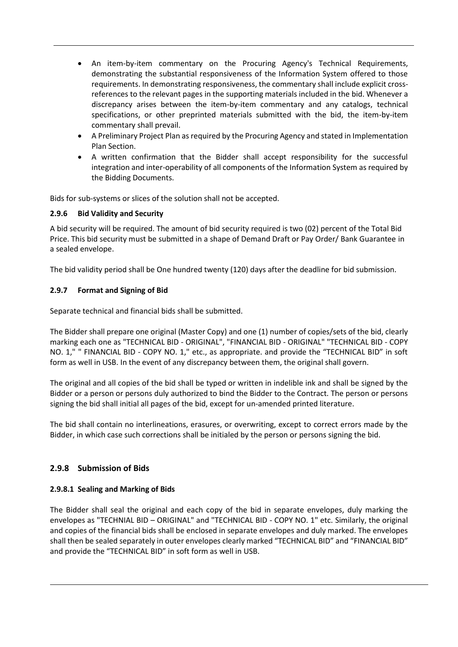- An item-by-item commentary on the Procuring Agency's Technical Requirements, demonstrating the substantial responsiveness of the Information System offered to those requirements. In demonstrating responsiveness, the commentary shall include explicit crossreferences to the relevant pages in the supporting materials included in the bid. Whenever a discrepancy arises between the item-by-item commentary and any catalogs, technical specifications, or other preprinted materials submitted with the bid, the item-by-item commentary shall prevail.
- A Preliminary Project Plan as required by the Procuring Agency and stated in Implementation Plan Section.
- A written confirmation that the Bidder shall accept responsibility for the successful integration and inter-operability of all components of the Information System as required by the Bidding Documents.

Bids for sub-systems or slices of the solution shall not be accepted.

#### <span id="page-10-0"></span>**2.9.6 Bid Validity and Security**

A bid security will be required. The amount of bid security required is two (02) percent of the Total Bid Price. This bid security must be submitted in a shape of Demand Draft or Pay Order/ Bank Guarantee in a sealed envelope.

The bid validity period shall be One hundred twenty (120) days after the deadline for bid submission.

#### <span id="page-10-1"></span>**2.9.7 Format and Signing of Bid**

Separate technical and financial bids shall be submitted.

The Bidder shall prepare one original (Master Copy) and one (1) number of copies/sets of the bid, clearly marking each one as "TECHNICAL BID - ORIGINAL", "FINANCIAL BID - ORIGINAL" "TECHNICAL BID - COPY NO. 1," " FINANCIAL BID - COPY NO. 1," etc., as appropriate. and provide the "TECHNICAL BID" in soft form as well in USB. In the event of any discrepancy between them, the original shall govern.

The original and all copies of the bid shall be typed or written in indelible ink and shall be signed by the Bidder or a person or persons duly authorized to bind the Bidder to the Contract. The person or persons signing the bid shall initial all pages of the bid, except for un-amended printed literature.

The bid shall contain no interlineations, erasures, or overwriting, except to correct errors made by the Bidder, in which case such corrections shall be initialed by the person or persons signing the bid.

### <span id="page-10-2"></span>**2.9.8 Submission of Bids**

#### <span id="page-10-3"></span>**2.9.8.1 Sealing and Marking of Bids**

The Bidder shall seal the original and each copy of the bid in separate envelopes, duly marking the envelopes as "TECHNIAL BID – ORIGINAL" and "TECHNICAL BID - COPY NO. 1" etc. Similarly, the original and copies of the financial bids shall be enclosed in separate envelopes and duly marked. The envelopes shall then be sealed separately in outer envelopes clearly marked "TECHNICAL BID" and "FINANCIAL BID" and provide the "TECHNICAL BID" in soft form as well in USB.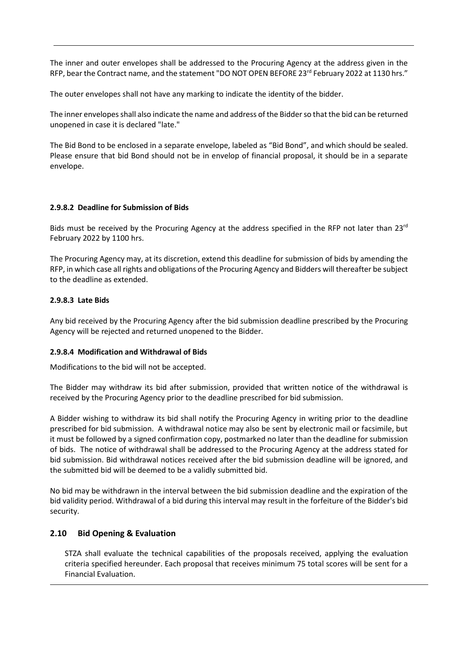The inner and outer envelopes shall be addressed to the Procuring Agency at the address given in the RFP, bear the Contract name, and the statement "DO NOT OPEN BEFORE 23<sup>rd</sup> February 2022 at 1130 hrs."

The outer envelopes shall not have any marking to indicate the identity of the bidder.

The inner envelopes shall also indicate the name and address of the Bidder so that the bid can be returned unopened in case it is declared "late."

The Bid Bond to be enclosed in a separate envelope, labeled as "Bid Bond", and which should be sealed. Please ensure that bid Bond should not be in envelop of financial proposal, it should be in a separate envelope.

#### <span id="page-11-0"></span>**2.9.8.2 Deadline for Submission of Bids**

Bids must be received by the Procuring Agency at the address specified in the RFP not later than 23<sup>rd</sup> February 2022 by 1100 hrs.

The Procuring Agency may, at its discretion, extend this deadline for submission of bids by amending the RFP, in which case all rights and obligations of the Procuring Agency and Bidders will thereafter be subject to the deadline as extended.

#### <span id="page-11-1"></span>**2.9.8.3 Late Bids**

Any bid received by the Procuring Agency after the bid submission deadline prescribed by the Procuring Agency will be rejected and returned unopened to the Bidder.

### <span id="page-11-2"></span>**2.9.8.4 Modification and Withdrawal of Bids**

Modifications to the bid will not be accepted.

The Bidder may withdraw its bid after submission, provided that written notice of the withdrawal is received by the Procuring Agency prior to the deadline prescribed for bid submission.

A Bidder wishing to withdraw its bid shall notify the Procuring Agency in writing prior to the deadline prescribed for bid submission. A withdrawal notice may also be sent by electronic mail or facsimile, but it must be followed by a signed confirmation copy, postmarked no later than the deadline for submission of bids. The notice of withdrawal shall be addressed to the Procuring Agency at the address stated for bid submission. Bid withdrawal notices received after the bid submission deadline will be ignored, and the submitted bid will be deemed to be a validly submitted bid.

No bid may be withdrawn in the interval between the bid submission deadline and the expiration of the bid validity period. Withdrawal of a bid during this interval may result in the forfeiture of the Bidder's bid security.

### <span id="page-11-3"></span>**2.10 Bid Opening & Evaluation**

STZA shall evaluate the technical capabilities of the proposals received, applying the evaluation criteria specified hereunder. Each proposal that receives minimum 75 total scores will be sent for a Financial Evaluation.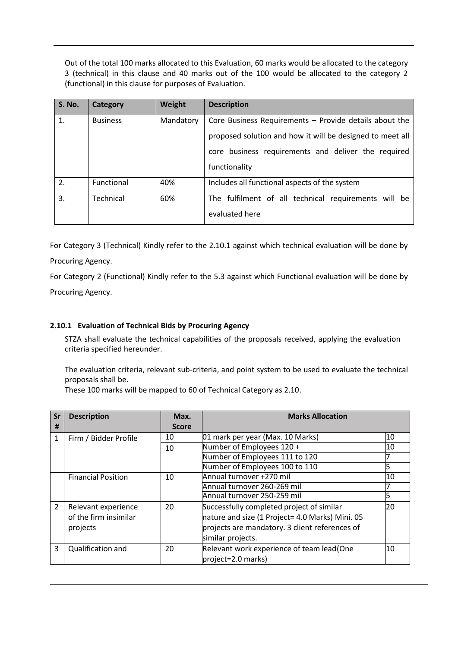Out of the total 100 marks allocated to this Evaluation, 60 marks would be allocated to the category 3 (technical) in this clause and 40 marks out of the 100 would be allocated to the category 2 (functional) in this clause for purposes of Evaluation.

| <b>S. No.</b>    | Category        | Weight    | <b>Description</b>                                        |  |  |
|------------------|-----------------|-----------|-----------------------------------------------------------|--|--|
| 1.               | <b>Business</b> | Mandatory | Core Business Requirements - Provide details about the    |  |  |
|                  |                 |           | proposed solution and how it will be designed to meet all |  |  |
|                  |                 |           | core business requirements and deliver the required       |  |  |
|                  |                 |           | functionality                                             |  |  |
| 2.               | Functional      | 40%       | Includes all functional aspects of the system             |  |  |
| $\overline{3}$ . | Technical       | 60%       | The fulfilment of all technical requirements will be      |  |  |
|                  |                 |           | evaluated here                                            |  |  |

For Category 3 (Technical) Kindly refer to the 2.10.1 against which technical evaluation will be done by Procuring Agency.

For Category 2 (Functional) Kindly refer to the 5.3 against which Functional evaluation will be done by Procuring Agency.

### <span id="page-12-0"></span>**2.10.1 Evaluation of Technical Bids by Procuring Agency**

STZA shall evaluate the technical capabilities of the proposals received, applying the evaluation criteria specified hereunder.

The evaluation criteria, relevant sub-criteria, and point system to be used to evaluate the technical proposals shall be.

These 100 marks will be mapped to 60 of Technical Category as 2.10.

| Sr<br>#        | <b>Description</b>                                       | Max.<br><b>Score</b> | <b>Marks Allocation</b>                                                                                                                                             |    |
|----------------|----------------------------------------------------------|----------------------|---------------------------------------------------------------------------------------------------------------------------------------------------------------------|----|
| 1              | Firm / Bidder Profile                                    | 10                   | 01 mark per year (Max. 10 Marks)                                                                                                                                    | 10 |
|                |                                                          | 10                   | Number of Employees 120 +                                                                                                                                           | 10 |
|                |                                                          |                      | Number of Employees 111 to 120                                                                                                                                      |    |
|                |                                                          |                      | Number of Employees 100 to 110                                                                                                                                      |    |
|                | <b>Financial Position</b>                                | 10                   | Annual turnover +270 mil                                                                                                                                            | 10 |
|                |                                                          |                      | Annual turnover 260-269 mil                                                                                                                                         |    |
|                |                                                          |                      | Annual turnover 250-259 mil                                                                                                                                         |    |
| $\overline{2}$ | Relevant experience<br>of the firm insimilar<br>projects | 20                   | Successfully completed project of similar<br>nature and size (1 Project= 4.0 Marks) Mini. 05<br>projects are mandatory. 3 client references of<br>similar projects. | 20 |
| 3              | Qualification and                                        | 20                   | Relevant work experience of team lead (One<br>project=2.0 marks)                                                                                                    | 10 |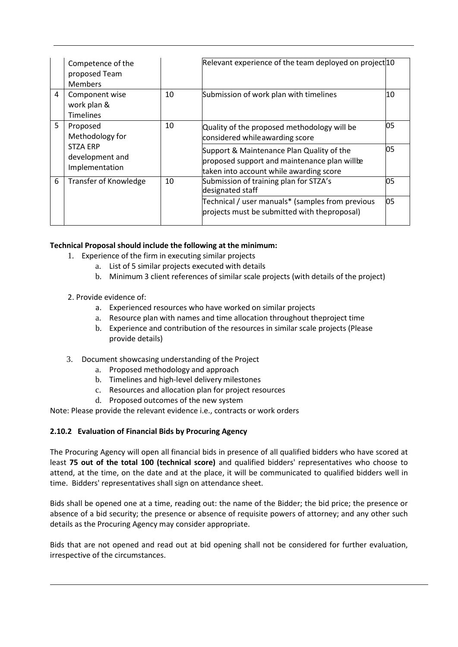|   | Competence of the<br>proposed Team<br><b>Members</b> |    | Relevant experience of the team deployed on project 10                                                                               |    |
|---|------------------------------------------------------|----|--------------------------------------------------------------------------------------------------------------------------------------|----|
| 4 | Component wise<br>work plan &<br><b>Timelines</b>    | 10 | Submission of work plan with timelines                                                                                               | 10 |
| 5 | Proposed<br>Methodology for                          | 10 | Quality of the proposed methodology will be<br>considered while awarding score                                                       | 05 |
|   | <b>STZA ERP</b><br>development and<br>Implementation |    | Support & Maintenance Plan Quality of the<br>proposed support and maintenance plan willbe<br>taken into account while awarding score | 05 |
| 6 | <b>Transfer of Knowledge</b>                         | 10 | Submission of training plan for STZA's<br>designated staff                                                                           | 05 |
|   |                                                      |    | Technical / user manuals* (samples from previous<br>projects must be submitted with theproposal)                                     | 05 |

### **Technical Proposal should include the following at the minimum:**

- 1. Experience of the firm in executing similar projects
	- a. List of 5 similar projects executed with details
	- b. Minimum 3 client references of similar scale projects (with details of the project)

### 2. Provide evidence of:

- a. Experienced resources who have worked on similar projects
- a. Resource plan with names and time allocation throughout the project time
- b. Experience and contribution of the resources in similar scale projects (Please provide details)
- 3. Document showcasing understanding of the Project
	- a. Proposed methodology and approach
	- b. Timelines and high-level delivery milestones
	- c. Resources and allocation plan for project resources
	- d. Proposed outcomes of the new system

Note: Please provide the relevant evidence i.e., contracts or work orders

### **2.10.2 Evaluation of Financial Bids by Procuring Agency**

The Procuring Agency will open all financial bids in presence of all qualified bidders who have scored at least **75 out of the total 100 (technical score)** and qualified bidders' representatives who choose to attend, at the time, on the date and at the place, it will be communicated to qualified bidders well in time. Bidders' representatives shall sign on attendance sheet.

Bids shall be opened one at a time, reading out: the name of the Bidder; the bid price; the presence or absence of a bid security; the presence or absence of requisite powers of attorney; and any other such details as the Procuring Agency may consider appropriate.

Bids that are not opened and read out at bid opening shall not be considered for further evaluation, irrespective of the circumstances.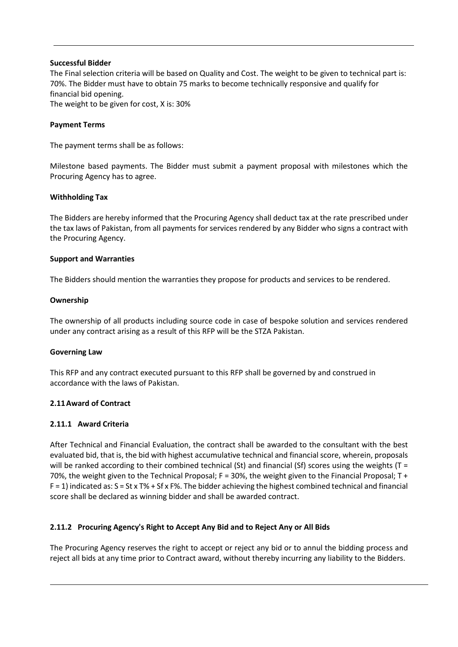#### **Successful Bidder**

The Final selection criteria will be based on Quality and Cost. The weight to be given to technical part is: 70%. The Bidder must have to obtain 75 marks to become technically responsive and qualify for financial bid opening. The weight to be given for cost, X is: 30%

#### <span id="page-14-0"></span>**Payment Terms**

The payment terms shall be as follows:

Milestone based payments. The Bidder must submit a payment proposal with milestones which the Procuring Agency has to agree.

#### **Withholding Tax**

The Bidders are hereby informed that the Procuring Agency shall deduct tax at the rate prescribed under the tax laws of Pakistan, from all payments for services rendered by any Bidder who signs a contract with the Procuring Agency.

#### **Support and Warranties**

The Bidders should mention the warranties they propose for products and services to be rendered.

#### **Ownership**

The ownership of all products including source code in case of bespoke solution and services rendered under any contract arising as a result of this RFP will be the STZA Pakistan.

#### **Governing Law**

This RFP and any contract executed pursuant to this RFP shall be governed by and construed in accordance with the laws of Pakistan.

### <span id="page-14-1"></span>**2.11Award of Contract**

### <span id="page-14-2"></span>**2.11.1 Award Criteria**

After Technical and Financial Evaluation, the contract shall be awarded to the consultant with the best evaluated bid, that is, the bid with highest accumulative technical and financial score, wherein, proposals will be ranked according to their combined technical (St) and financial (Sf) scores using the weights (T = 70%, the weight given to the Technical Proposal;  $F = 30%$ , the weight given to the Financial Proposal; T +  $F = 1$ ) indicated as:  $S = St \times T\% + Sf \times F\%$ . The bidder achieving the highest combined technical and financial score shall be declared as winning bidder and shall be awarded contract.

### <span id="page-14-3"></span>**2.11.2 Procuring Agency's Right to Accept Any Bid and to Reject Any or All Bids**

The Procuring Agency reserves the right to accept or reject any bid or to annul the bidding process and reject all bids at any time prior to Contract award, without thereby incurring any liability to the Bidders.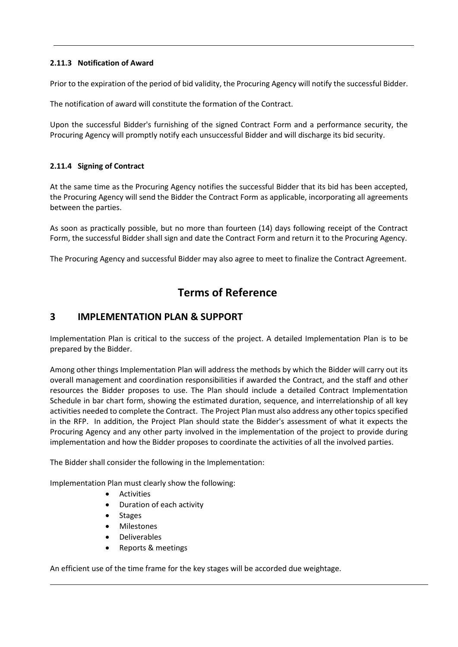### <span id="page-15-0"></span>**2.11.3 Notification of Award**

Prior to the expiration of the period of bid validity, the Procuring Agency will notify the successful Bidder.

The notification of award will constitute the formation of the Contract.

Upon the successful Bidder's furnishing of the signed Contract Form and a performance security, the Procuring Agency will promptly notify each unsuccessful Bidder and will discharge its bid security.

### <span id="page-15-1"></span>**2.11.4 Signing of Contract**

At the same time as the Procuring Agency notifies the successful Bidder that its bid has been accepted, the Procuring Agency will send the Bidder the Contract Form as applicable, incorporating all agreements between the parties.

As soon as practically possible, but no more than fourteen (14) days following receipt of the Contract Form, the successful Bidder shall sign and date the Contract Form and return it to the Procuring Agency.

The Procuring Agency and successful Bidder may also agree to meet to finalize the Contract Agreement.

# **Terms of Reference**

# <span id="page-15-2"></span>**3 IMPLEMENTATION PLAN & SUPPORT**

Implementation Plan is critical to the success of the project. A detailed Implementation Plan is to be prepared by the Bidder.

Among other things Implementation Plan will address the methods by which the Bidder will carry out its overall management and coordination responsibilities if awarded the Contract, and the staff and other resources the Bidder proposes to use. The Plan should include a detailed Contract Implementation Schedule in bar chart form, showing the estimated duration, sequence, and interrelationship of all key activities needed to complete the Contract. The Project Plan must also address any other topics specified in the RFP. In addition, the Project Plan should state the Bidder's assessment of what it expects the Procuring Agency and any other party involved in the implementation of the project to provide during implementation and how the Bidder proposes to coordinate the activities of all the involved parties.

The Bidder shall consider the following in the Implementation:

Implementation Plan must clearly show the following:

- Activities
- Duration of each activity
- Stages
- Milestones
- Deliverables
- Reports & meetings

An efficient use of the time frame for the key stages will be accorded due weightage.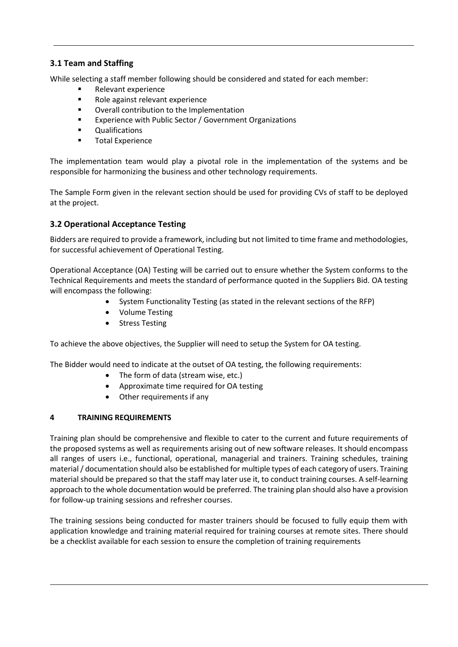### <span id="page-16-0"></span>**3.1 Team and Staffing**

While selecting a staff member following should be considered and stated for each member:

- Relevant experience
- Role against relevant experience
- Overall contribution to the Implementation
- Experience with Public Sector / Government Organizations
- Qualifications
- **Total Experience**

The implementation team would play a pivotal role in the implementation of the systems and be responsible for harmonizing the business and other technology requirements.

The Sample Form given in the relevant section should be used for providing CVs of staff to be deployed at the project.

### <span id="page-16-1"></span>**3.2 Operational Acceptance Testing**

Bidders are required to provide a framework, including but not limited to time frame and methodologies, for successful achievement of Operational Testing.

Operational Acceptance (OA) Testing will be carried out to ensure whether the System conforms to the Technical Requirements and meets the standard of performance quoted in the Suppliers Bid. OA testing will encompass the following:

- System Functionality Testing (as stated in the relevant sections of the RFP)
- Volume Testing
- Stress Testing

To achieve the above objectives, the Supplier will need to setup the System for OA testing.

The Bidder would need to indicate at the outset of OA testing, the following requirements:

- The form of data (stream wise, etc.)
- Approximate time required for OA testing
- Other requirements if any

### <span id="page-16-2"></span>**4 TRAINING REQUIREMENTS**

Training plan should be comprehensive and flexible to cater to the current and future requirements of the proposed systems as well as requirements arising out of new software releases. It should encompass all ranges of users i.e., functional, operational, managerial and trainers. Training schedules, training material / documentation should also be established for multiple types of each category of users. Training material should be prepared so that the staff may later use it, to conduct training courses. A self-learning approach to the whole documentation would be preferred. The training plan should also have a provision for follow-up training sessions and refresher courses.

The training sessions being conducted for master trainers should be focused to fully equip them with application knowledge and training material required for training courses at remote sites. There should be a checklist available for each session to ensure the completion of training requirements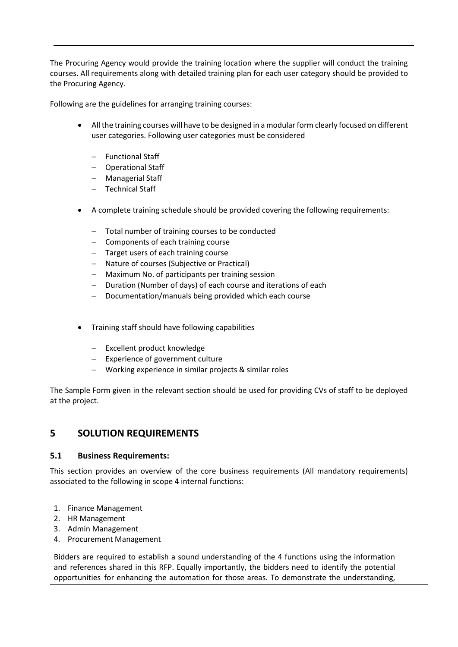The Procuring Agency would provide the training location where the supplier will conduct the training courses. All requirements along with detailed training plan for each user category should be provided to the Procuring Agency.

Following are the guidelines for arranging training courses:

- All the training courses will have to be designed in a modular form clearly focused on different user categories. Following user categories must be considered
	- − Functional Staff
	- − Operational Staff
	- − Managerial Staff
	- − Technical Staff
- A complete training schedule should be provided covering the following requirements:
	- − Total number of training courses to be conducted
	- − Components of each training course
	- − Target users of each training course
	- − Nature of courses (Subjective or Practical)
	- − Maximum No. of participants per training session
	- − Duration (Number of days) of each course and iterations of each
	- − Documentation/manuals being provided which each course
- Training staff should have following capabilities
	- − Excellent product knowledge
	- − Experience of government culture
	- − Working experience in similar projects & similar roles

The Sample Form given in the relevant section should be used for providing CVs of staff to be deployed at the project.

### <span id="page-17-0"></span>**5 SOLUTION REQUIREMENTS**

#### <span id="page-17-1"></span>**5.1 Business Requirements:**

This section provides an overview of the core business requirements (All mandatory requirements) associated to the following in scope 4 internal functions:

- 1. Finance Management
- 2. HR Management
- 3. Admin Management
- 4. Procurement Management

Bidders are required to establish a sound understanding of the 4 functions using the information and references shared in this RFP. Equally importantly, the bidders need to identify the potential opportunities for enhancing the automation for those areas. To demonstrate the understanding,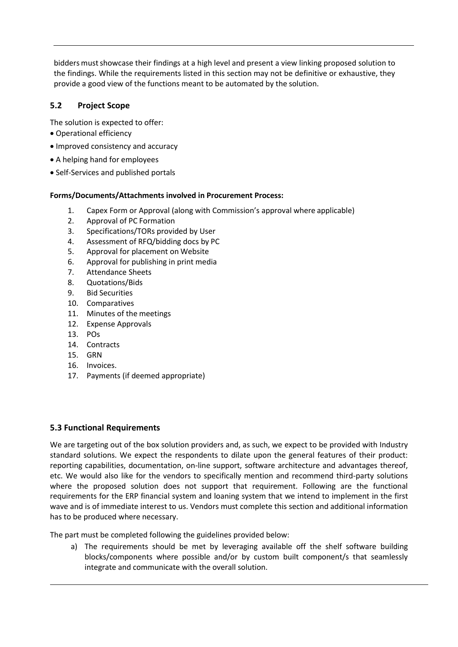bidders must showcase their findings at a high level and present a view linking proposed solution to the findings. While the requirements listed in this section may not be definitive or exhaustive, they provide a good view of the functions meant to be automated by the solution.

### <span id="page-18-0"></span>**5.2 Project Scope**

The solution is expected to offer:

- Operational efficiency
- Improved consistency and accuracy
- A helping hand for employees
- Self-Services and published portals

#### **Forms/Documents/Attachments involved in Procurement Process:**

- 1. Capex Form or Approval (along with Commission's approval where applicable)
- 2. Approval of PC Formation
- 3. Specifications/TORs provided by User
- 4. Assessment of RFQ/bidding docs by PC
- 5. Approval for placement on Website
- 6. Approval for publishing in print media
- 7. Attendance Sheets
- 8. Quotations/Bids
- 9. Bid Securities
- 10. Comparatives
- 11. Minutes of the meetings
- 12. Expense Approvals
- 13. POs
- 14. Contracts
- 15. GRN
- 16. Invoices.
- 17. Payments (if deemed appropriate)

#### <span id="page-18-1"></span>**5.3 Functional Requirements**

We are targeting out of the box solution providers and, as such, we expect to be provided with Industry standard solutions. We expect the respondents to dilate upon the general features of their product: reporting capabilities, documentation, on-line support, software architecture and advantages thereof, etc. We would also like for the vendors to specifically mention and recommend third-party solutions where the proposed solution does not support that requirement. Following are the functional requirements for the ERP financial system and loaning system that we intend to implement in the first wave and is of immediate interest to us. Vendors must complete this section and additional information has to be produced where necessary.

The part must be completed following the guidelines provided below:

a) The requirements should be met by leveraging available off the shelf software building blocks/components where possible and/or by custom built component/s that seamlessly integrate and communicate with the overall solution.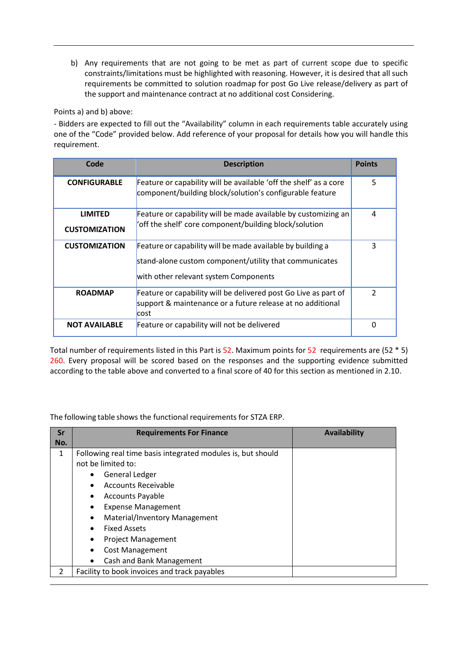b) Any requirements that are not going to be met as part of current scope due to specific constraints/limitations must be highlighted with reasoning. However, it is desired that all such requirements be committed to solution roadmap for post Go Live release/delivery as part of the support and maintenance contract at no additional cost Considering.

Points a) and b) above:

- Bidders are expected to fill out the "Availability" column in each requirements table accurately using one of the "Code" provided below. Add reference of your proposal for details how you will handle this requirement.

| Code                                   | <b>Description</b>                                                                                                                                            |               |
|----------------------------------------|---------------------------------------------------------------------------------------------------------------------------------------------------------------|---------------|
| <b>CONFIGURABLE</b>                    | Feature or capability will be available 'off the shelf' as a core<br>component/building block/solution's configurable feature                                 | 5             |
| <b>LIMITED</b><br><b>CUSTOMIZATION</b> | Feature or capability will be made available by customizing an<br>'off the shelf' core component/building block/solution                                      |               |
| <b>CUSTOMIZATION</b>                   | Feature or capability will be made available by building a<br>stand-alone custom component/utility that communicates<br>with other relevant system Components | 3             |
| <b>ROADMAP</b>                         | Feature or capability will be delivered post Go Live as part of<br>support & maintenance or a future release at no additional<br>cost                         | $\mathcal{P}$ |
| <b>NOT AVAILABLE</b>                   | Feature or capability will not be delivered                                                                                                                   | n             |

Total number of requirements listed in this Part is 52. Maximum points for 52 requirements are (52 \* 5) 260. Every proposal will be scored based on the responses and the supporting evidence submitted according to the table above and converted to a final score of 40 for this section as mentioned in 2.10.

The following table shows the functional requirements for STZA ERP.

| Sr<br>No.     | <b>Requirements For Finance</b>                                                                                                                                                                                                                                                                                                                                                        | <b>Availability</b> |
|---------------|----------------------------------------------------------------------------------------------------------------------------------------------------------------------------------------------------------------------------------------------------------------------------------------------------------------------------------------------------------------------------------------|---------------------|
| 1             | Following real time basis integrated modules is, but should<br>not be limited to:<br><b>General Ledger</b><br>Accounts Receivable<br>$\bullet$<br><b>Accounts Payable</b><br>$\bullet$<br><b>Expense Management</b><br>$\bullet$<br>Material/Inventory Management<br>$\bullet$<br><b>Fixed Assets</b><br>$\bullet$<br><b>Project Management</b><br>$\bullet$<br><b>Cost Management</b> |                     |
| $\mathcal{P}$ | Cash and Bank Management<br>$\bullet$<br>Facility to book invoices and track payables                                                                                                                                                                                                                                                                                                  |                     |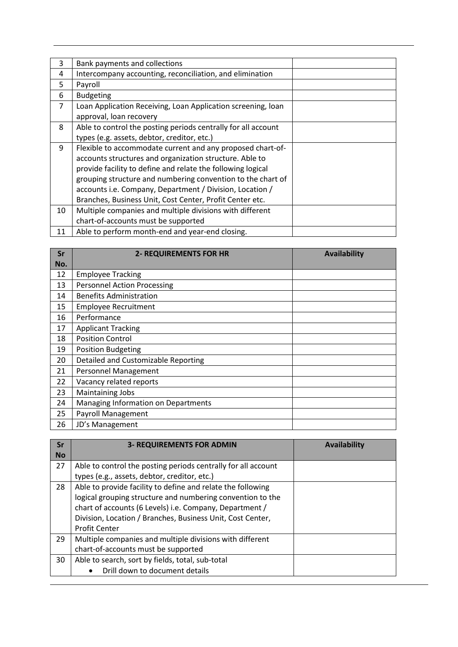| 3              | Bank payments and collections                                 |  |
|----------------|---------------------------------------------------------------|--|
| 4              | Intercompany accounting, reconciliation, and elimination      |  |
| 5              | Payroll                                                       |  |
| 6              | <b>Budgeting</b>                                              |  |
| $\overline{7}$ | Loan Application Receiving, Loan Application screening, loan  |  |
|                | approval, loan recovery                                       |  |
| 8              | Able to control the posting periods centrally for all account |  |
|                | types (e.g. assets, debtor, creditor, etc.)                   |  |
| 9              | Flexible to accommodate current and any proposed chart-of-    |  |
|                | accounts structures and organization structure. Able to       |  |
|                | provide facility to define and relate the following logical   |  |
|                | grouping structure and numbering convention to the chart of   |  |
|                | accounts i.e. Company, Department / Division, Location /      |  |
|                | Branches, Business Unit, Cost Center, Profit Center etc.      |  |
| 10             | Multiple companies and multiple divisions with different      |  |
|                | chart-of-accounts must be supported                           |  |
| 11             | Able to perform month-end and year-end closing.               |  |

| Sr  | <b>2- REQUIREMENTS FOR HR</b>       | <b>Availability</b> |
|-----|-------------------------------------|---------------------|
| No. |                                     |                     |
| 12  | <b>Employee Tracking</b>            |                     |
| 13  | <b>Personnel Action Processing</b>  |                     |
| 14  | <b>Benefits Administration</b>      |                     |
| 15  | <b>Employee Recruitment</b>         |                     |
| 16  | Performance                         |                     |
| 17  | <b>Applicant Tracking</b>           |                     |
| 18  | <b>Position Control</b>             |                     |
| 19  | <b>Position Budgeting</b>           |                     |
| 20  | Detailed and Customizable Reporting |                     |
| 21  | <b>Personnel Management</b>         |                     |
| 22  | Vacancy related reports             |                     |
| 23  | Maintaining Jobs                    |                     |
| 24  | Managing Information on Departments |                     |
| 25  | Payroll Management                  |                     |
| 26  | JD's Management                     |                     |

| Sr        | <b>3- REQUIREMENTS FOR ADMIN</b>                              | Availability |
|-----------|---------------------------------------------------------------|--------------|
| <b>No</b> |                                                               |              |
| 27        | Able to control the posting periods centrally for all account |              |
|           | types (e.g., assets, debtor, creditor, etc.)                  |              |
| 28        | Able to provide facility to define and relate the following   |              |
|           | logical grouping structure and numbering convention to the    |              |
|           | chart of accounts (6 Levels) i.e. Company, Department /       |              |
|           | Division, Location / Branches, Business Unit, Cost Center,    |              |
|           | <b>Profit Center</b>                                          |              |
| 29        | Multiple companies and multiple divisions with different      |              |
|           | chart-of-accounts must be supported                           |              |
| 30        | Able to search, sort by fields, total, sub-total              |              |
|           | Drill down to document details                                |              |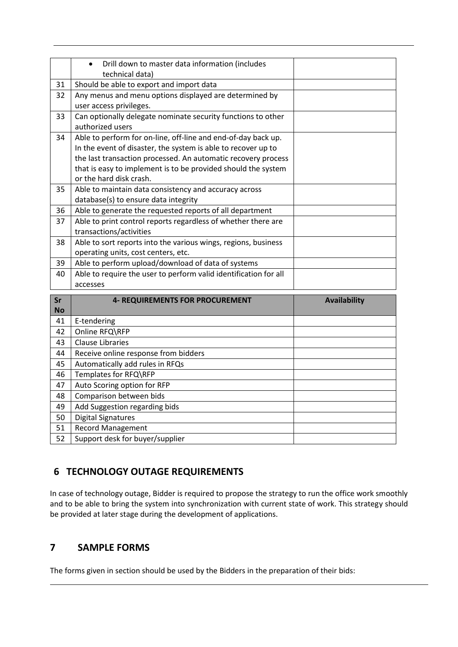|        | Drill down to master data information (includes                  |                  |
|--------|------------------------------------------------------------------|------------------|
|        | technical data)                                                  |                  |
| 31     | Should be able to export and import data                         |                  |
| 32     | Any menus and menu options displayed are determined by           |                  |
|        | user access privileges.                                          |                  |
| 33     | Can optionally delegate nominate security functions to other     |                  |
|        | authorized users                                                 |                  |
| 34     | Able to perform for on-line, off-line and end-of-day back up.    |                  |
|        | In the event of disaster, the system is able to recover up to    |                  |
|        | the last transaction processed. An automatic recovery process    |                  |
|        | that is easy to implement is to be provided should the system    |                  |
|        | or the hard disk crash.                                          |                  |
| 35     | Able to maintain data consistency and accuracy across            |                  |
|        | database(s) to ensure data integrity                             |                  |
| 36     | Able to generate the requested reports of all department         |                  |
| 37     | Able to print control reports regardless of whether there are    |                  |
|        | transactions/activities                                          |                  |
| 38     | Able to sort reports into the various wings, regions, business   |                  |
|        | operating units, cost centers, etc.                              |                  |
| 39     | Able to perform upload/download of data of systems               |                  |
| 40     | Able to require the user to perform valid identification for all |                  |
|        | accesses                                                         |                  |
| $\sim$ | A DEALUDERAERITE FAD DDACLIDERAERIT                              | $A = -11 - 1111$ |

| Sr        | <b>4- REQUIREMENTS FOR PROCUREMENT</b> | <b>Availability</b> |
|-----------|----------------------------------------|---------------------|
| <b>No</b> |                                        |                     |
| 41        | E-tendering                            |                     |
| 42        | Online RFQ\RFP                         |                     |
| 43        | <b>Clause Libraries</b>                |                     |
| 44        | Receive online response from bidders   |                     |
| 45        | Automatically add rules in RFQs        |                     |
| 46        | Templates for RFQ\RFP                  |                     |
| 47        | Auto Scoring option for RFP            |                     |
| 48        | Comparison between bids                |                     |
| 49        | Add Suggestion regarding bids          |                     |
| 50        | <b>Digital Signatures</b>              |                     |
| 51        | <b>Record Management</b>               |                     |
| 52        | Support desk for buyer/supplier        |                     |

# <span id="page-21-0"></span>**6 TECHNOLOGY OUTAGE REQUIREMENTS**

In case of technology outage, Bidder is required to propose the strategy to run the office work smoothly and to be able to bring the system into synchronization with current state of work. This strategy should be provided at later stage during the development of applications.

# <span id="page-21-1"></span>**7 SAMPLE FORMS**

The forms given in section should be used by the Bidders in the preparation of their bids: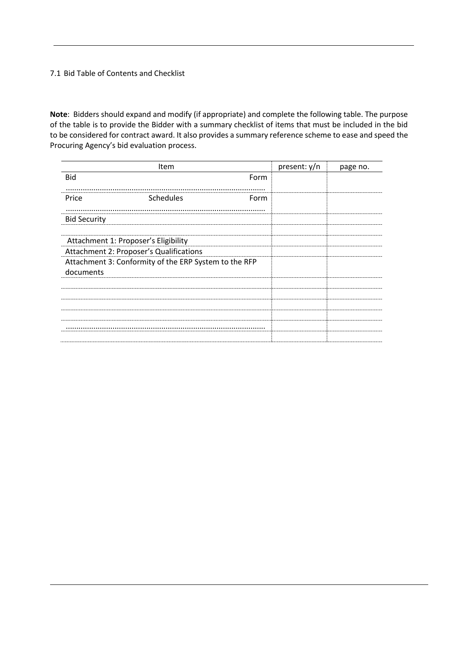#### <span id="page-22-0"></span>7.1 Bid Table of Contents and Checklist

**Note**: Bidders should expand and modify (if appropriate) and complete the following table. The purpose of the table is to provide the Bidder with a summary checklist of items that must be included in the bid to be considered for contract award. It also provides a summary reference scheme to ease and speed the Procuring Agency's bid evaluation process.

| Item                                                               | present: y/n | page no. |
|--------------------------------------------------------------------|--------------|----------|
| <b>Bid</b><br>Form                                                 |              |          |
| Schedules<br>Price<br>Form                                         |              |          |
| <b>Bid Security</b>                                                |              |          |
| Attachment 1: Proposer's Eligibility                               |              |          |
| Attachment 2: Proposer's Qualifications                            |              |          |
| Attachment 3: Conformity of the ERP System to the RFP<br>documents |              |          |
|                                                                    |              |          |
|                                                                    |              |          |
|                                                                    |              |          |
|                                                                    |              |          |
|                                                                    |              |          |
|                                                                    |              |          |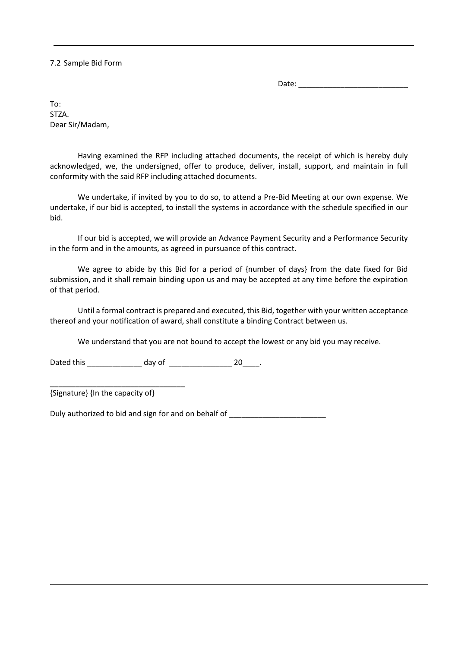<span id="page-23-0"></span>7.2 Sample Bid Form

Date: \_\_\_\_\_\_\_\_\_\_\_\_\_\_\_\_\_\_\_\_\_\_\_\_\_\_

To: STZA. Dear Sir/Madam,

Having examined the RFP including attached documents, the receipt of which is hereby duly acknowledged, we, the undersigned, offer to produce, deliver, install, support, and maintain in full conformity with the said RFP including attached documents.

We undertake, if invited by you to do so, to attend a Pre-Bid Meeting at our own expense. We undertake, if our bid is accepted, to install the systems in accordance with the schedule specified in our bid.

If our bid is accepted, we will provide an Advance Payment Security and a Performance Security in the form and in the amounts, as agreed in pursuance of this contract.

We agree to abide by this Bid for a period of {number of days} from the date fixed for Bid submission, and it shall remain binding upon us and may be accepted at any time before the expiration of that period.

Until a formal contract is prepared and executed, this Bid, together with your written acceptance thereof and your notification of award, shall constitute a binding Contract between us.

We understand that you are not bound to accept the lowest or any bid you may receive.

Dated this \_\_\_\_\_\_\_\_\_\_\_\_\_\_\_\_\_ day of \_\_\_\_\_\_\_\_\_\_\_\_\_\_\_\_\_\_\_\_\_\_\_\_ 20\_\_\_\_\_.

{Signature} {In the capacity of}

\_\_\_\_\_\_\_\_\_\_\_\_\_\_\_\_\_\_\_\_\_\_\_\_\_\_\_\_\_\_\_\_

Duly authorized to bid and sign for and on behalf of \_\_\_\_\_\_\_\_\_\_\_\_\_\_\_\_\_\_\_\_\_\_\_\_\_\_\_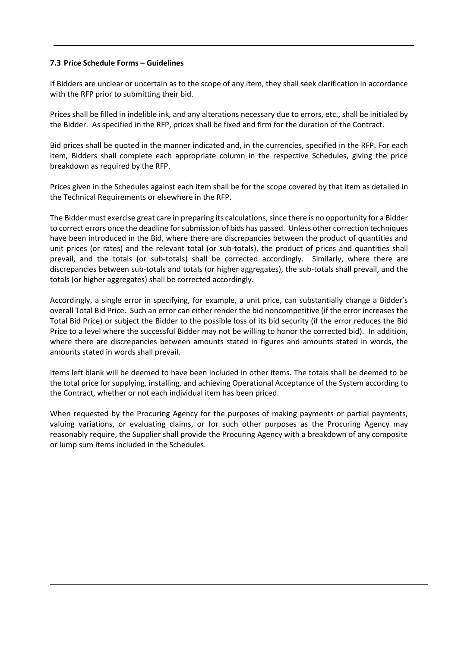#### <span id="page-24-0"></span>**7.3 Price Schedule Forms – Guidelines**

If Bidders are unclear or uncertain as to the scope of any item, they shall seek clarification in accordance with the RFP prior to submitting their bid.

Prices shall be filled in indelible ink, and any alterations necessary due to errors, etc., shall be initialed by the Bidder. As specified in the RFP, prices shall be fixed and firm for the duration of the Contract.

Bid prices shall be quoted in the manner indicated and, in the currencies, specified in the RFP. For each item, Bidders shall complete each appropriate column in the respective Schedules, giving the price breakdown as required by the RFP.

Prices given in the Schedules against each item shall be for the scope covered by that item as detailed in the Technical Requirements or elsewhere in the RFP.

The Bidder must exercise great care in preparing its calculations, since there is no opportunity for a Bidder to correct errors once the deadline for submission of bids has passed. Unless other correction techniques have been introduced in the Bid, where there are discrepancies between the product of quantities and unit prices (or rates) and the relevant total (or sub-totals), the product of prices and quantities shall prevail, and the totals (or sub-totals) shall be corrected accordingly. Similarly, where there are discrepancies between sub-totals and totals (or higher aggregates), the sub-totals shall prevail, and the totals (or higher aggregates) shall be corrected accordingly.

Accordingly, a single error in specifying, for example, a unit price, can substantially change a Bidder's overall Total Bid Price. Such an error can either render the bid noncompetitive (if the error increases the Total Bid Price) or subject the Bidder to the possible loss of its bid security (if the error reduces the Bid Price to a level where the successful Bidder may not be willing to honor the corrected bid). In addition, where there are discrepancies between amounts stated in figures and amounts stated in words, the amounts stated in words shall prevail.

Items left blank will be deemed to have been included in other items. The totals shall be deemed to be the total price for supplying, installing, and achieving Operational Acceptance of the System according to the Contract, whether or not each individual item has been priced.

When requested by the Procuring Agency for the purposes of making payments or partial payments, valuing variations, or evaluating claims, or for such other purposes as the Procuring Agency may reasonably require, the Supplier shall provide the Procuring Agency with a breakdown of any composite or lump sum items included in the Schedules.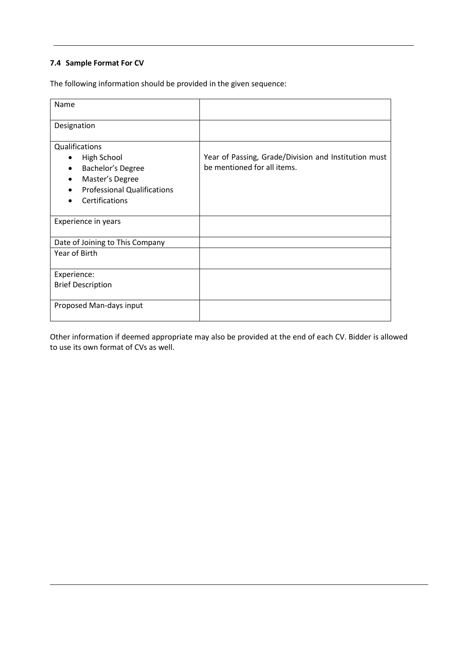### <span id="page-25-0"></span>**7.4 Sample Format For CV**

The following information should be provided in the given sequence:

| Year of Passing, Grade/Division and Institution must |
|------------------------------------------------------|
| be mentioned for all items.                          |
|                                                      |
|                                                      |
|                                                      |
|                                                      |
|                                                      |
|                                                      |
|                                                      |
|                                                      |
|                                                      |
|                                                      |

Other information if deemed appropriate may also be provided at the end of each CV. Bidder is allowed to use its own format of CVs as well.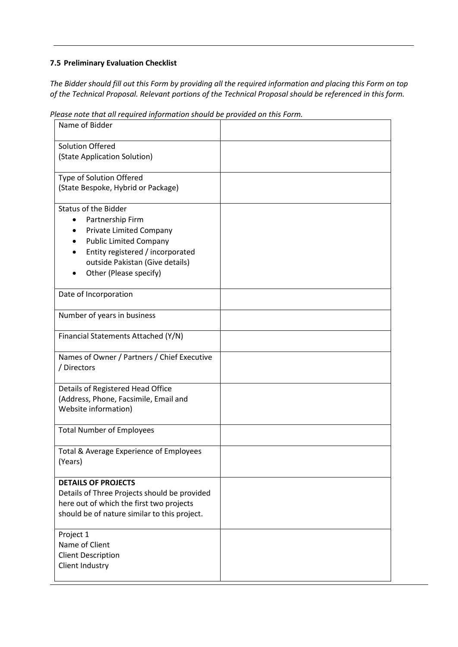### <span id="page-26-0"></span>**7.5 Preliminary Evaluation Checklist**

*The Bidder should fill out this Form by providing all the required information and placing this Form on top of the Technical Proposal. Relevant portions of the Technical Proposal should be referenced in this form.*

| Name of Bidder                                             |  |
|------------------------------------------------------------|--|
| <b>Solution Offered</b>                                    |  |
| (State Application Solution)                               |  |
| Type of Solution Offered                                   |  |
| (State Bespoke, Hybrid or Package)                         |  |
| <b>Status of the Bidder</b>                                |  |
| Partnership Firm<br>$\bullet$                              |  |
| Private Limited Company                                    |  |
| <b>Public Limited Company</b>                              |  |
| Entity registered / incorporated                           |  |
| outside Pakistan (Give details)                            |  |
| Other (Please specify)                                     |  |
| Date of Incorporation                                      |  |
| Number of years in business                                |  |
| Financial Statements Attached (Y/N)                        |  |
| Names of Owner / Partners / Chief Executive<br>/ Directors |  |
| Details of Registered Head Office                          |  |
| (Address, Phone, Facsimile, Email and                      |  |
| Website information)                                       |  |
| <b>Total Number of Employees</b>                           |  |
|                                                            |  |
| Total & Average Experience of Employees<br>(Years)         |  |
| <b>DETAILS OF PROJECTS</b>                                 |  |
| Details of Three Projects should be provided               |  |
| here out of which the first two projects                   |  |
| should be of nature similar to this project.               |  |
| Project 1                                                  |  |
| Name of Client                                             |  |
| <b>Client Description</b>                                  |  |
| Client Industry                                            |  |
|                                                            |  |

*Please note that all required information should be provided on this Form.*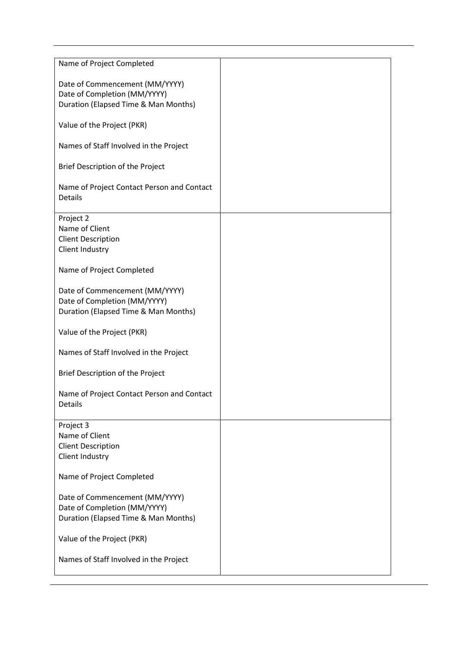| Name of Project Completed                             |  |
|-------------------------------------------------------|--|
| Date of Commencement (MM/YYYY)                        |  |
| Date of Completion (MM/YYYY)                          |  |
|                                                       |  |
| Duration (Elapsed Time & Man Months)                  |  |
| Value of the Project (PKR)                            |  |
| Names of Staff Involved in the Project                |  |
| Brief Description of the Project                      |  |
| Name of Project Contact Person and Contact<br>Details |  |
| Project 2                                             |  |
| Name of Client                                        |  |
| <b>Client Description</b>                             |  |
| Client Industry                                       |  |
|                                                       |  |
| Name of Project Completed                             |  |
| Date of Commencement (MM/YYYY)                        |  |
| Date of Completion (MM/YYYY)                          |  |
| Duration (Elapsed Time & Man Months)                  |  |
|                                                       |  |
| Value of the Project (PKR)                            |  |
| Names of Staff Involved in the Project                |  |
| Brief Description of the Project                      |  |
|                                                       |  |
| Name of Project Contact Person and Contact            |  |
| <b>Details</b>                                        |  |
|                                                       |  |
| Project 3                                             |  |
| Name of Client                                        |  |
| <b>Client Description</b>                             |  |
| Client Industry                                       |  |
|                                                       |  |
| Name of Project Completed                             |  |
| Date of Commencement (MM/YYYY)                        |  |
| Date of Completion (MM/YYYY)                          |  |
|                                                       |  |
| Duration (Elapsed Time & Man Months)                  |  |
| Value of the Project (PKR)                            |  |
|                                                       |  |
| Names of Staff Involved in the Project                |  |
|                                                       |  |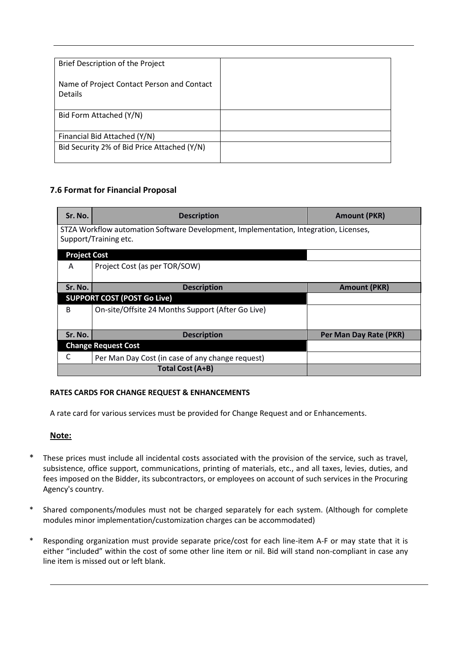| Brief Description of the Project                             |  |
|--------------------------------------------------------------|--|
| Name of Project Contact Person and Contact<br><b>Details</b> |  |
| Bid Form Attached (Y/N)                                      |  |
|                                                              |  |
| Financial Bid Attached (Y/N)                                 |  |
| Bid Security 2% of Bid Price Attached (Y/N)                  |  |

# <span id="page-28-0"></span>**7.6 Format for Financial Proposal**

| Sr. No.                                                                                                        | <b>Description</b>                                | <b>Amount (PKR)</b>    |  |
|----------------------------------------------------------------------------------------------------------------|---------------------------------------------------|------------------------|--|
| STZA Workflow automation Software Development, Implementation, Integration, Licenses,<br>Support/Training etc. |                                                   |                        |  |
| <b>Project Cost</b>                                                                                            |                                                   |                        |  |
| A                                                                                                              | Project Cost (as per TOR/SOW)                     |                        |  |
| Sr. No.                                                                                                        | <b>Description</b>                                | <b>Amount (PKR)</b>    |  |
|                                                                                                                | <b>SUPPORT COST (POST Go Live)</b>                |                        |  |
| В                                                                                                              | On-site/Offsite 24 Months Support (After Go Live) |                        |  |
| Sr. No.                                                                                                        | <b>Description</b>                                | Per Man Day Rate (PKR) |  |
| <b>Change Request Cost</b>                                                                                     |                                                   |                        |  |
| C                                                                                                              | Per Man Day Cost (in case of any change request)  |                        |  |
|                                                                                                                | Total Cost (A+B)                                  |                        |  |

### **RATES CARDS FOR CHANGE REQUEST & ENHANCEMENTS**

A rate card for various services must be provided for Change Request and or Enhancements.

### **Note:**

- \* These prices must include all incidental costs associated with the provision of the service, such as travel, subsistence, office support, communications, printing of materials, etc., and all taxes, levies, duties, and fees imposed on the Bidder, its subcontractors, or employees on account of such services in the Procuring Agency's country.
- \* Shared components/modules must not be charged separately for each system. (Although for complete modules minor implementation/customization charges can be accommodated)
- Responding organization must provide separate price/cost for each line-item A-F or may state that it is either "included" within the cost of some other line item or nil. Bid will stand non-compliant in case any line item is missed out or left blank.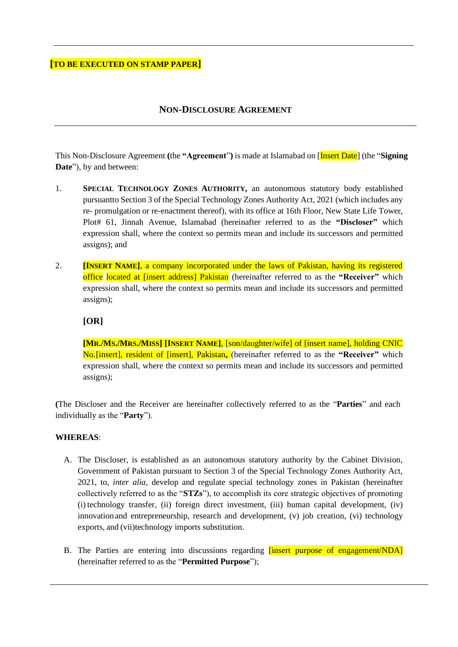### **[TO BE EXECUTED ON STAMP PAPER]**

### **NON-DISCLOSURE AGREEMENT**

This Non-Disclosure Agreement **(**the **"Agreement**"**)** is made at Islamabad on [Insert Date] (the "**Signing Date**"), by and between:

- 1. **SPECIAL TECHNOLOGY ZONES AUTHORITY,** an autonomous statutory body established pursuantto Section 3 of the Special Technology Zones Authority Act, 2021 (which includes any re- promulgation or re-enactment thereof), with its office at 16th Floor, New State Life Tower, Plot# 61, Jinnah Avenue, Islamabad (hereinafter referred to as the **"Discloser"** which expression shall, where the context so permits mean and include its successors and permitted assigns); and
- 2. **[INSERT NAME]**, a company incorporated under the laws of Pakistan, having its registered office located at [insert address] Pakistan (hereinafter referred to as the **"Receiver"** which expression shall, where the context so permits mean and include its successors and permitted assigns);

### **[OR]**

**[MR./MS./MRS./MISS] [INSERT NAME]**, [son/daughter/wife] of [insert name], holding CNIC No.[insert], resident of [insert], Pakistan**,** (hereinafter referred to as the **"Receiver"** which expression shall, where the context so permits mean and include its successors and permitted assigns);

**(**The Discloser and the Receiver are hereinafter collectively referred to as the "**Parties**" and each individually as the "**Party**").

#### **WHEREAS**:

- A. The Discloser*,* is established as an autonomous statutory authority by the Cabinet Division, Government of Pakistan pursuant to Section 3 of the Special Technology Zones Authority Act, 2021, to, *inter alia,* develop and regulate special technology zones in Pakistan (hereinafter collectively referred to as the "**STZs**"), to accomplish its core strategic objectives of promoting (i) technology transfer, (ii) foreign direct investment, (iii) human capital development, (iv) innovationand entrepreneurship, research and development, (v) job creation, (vi) technology exports, and (vii)technology imports substitution.
- B. The Parties are entering into discussions regarding *linsert purpose of engagement/NDA* (hereinafter referred to as the "**Permitted Purpose**");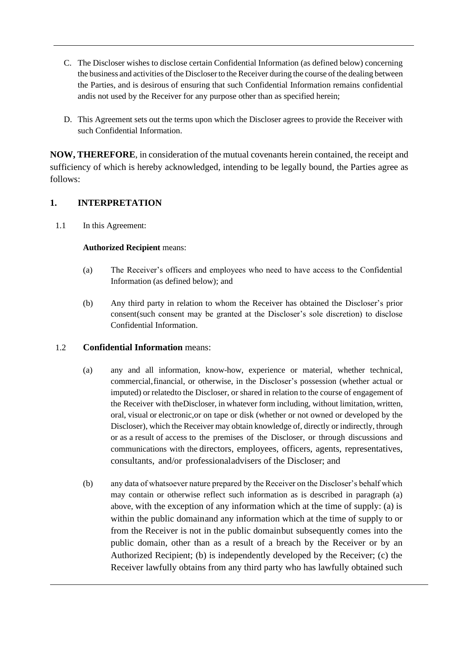- C. The Discloser wishes to disclose certain Confidential Information (as defined below) concerning the business and activities of the Discloser to the Receiver during the course of the dealing between the Parties, and is desirous of ensuring that such Confidential Information remains confidential andis not used by the Receiver for any purpose other than as specified herein;
- D. This Agreement sets out the terms upon which the Discloser agrees to provide the Receiver with such Confidential Information.

**NOW, THEREFORE**, in consideration of the mutual covenants herein contained, the receipt and sufficiency of which is hereby acknowledged, intending to be legally bound, the Parties agree as follows:

# **1. INTERPRETATION**

1.1 In this Agreement:

### **Authorized Recipient** means:

- (a) The Receiver's officers and employees who need to have access to the Confidential Information (as defined below); and
- (b) Any third party in relation to whom the Receiver has obtained the Discloser's prior consent(such consent may be granted at the Discloser's sole discretion) to disclose Confidential Information.

### 1.2 **Confidential Information** means:

- (a) any and all information, know-how, experience or material, whether technical, commercial,financial, or otherwise, in the Discloser's possession (whether actual or imputed) or relatedto the Discloser, or shared in relation to the course of engagement of the Receiver with theDiscloser, in whatever form including, without limitation, written, oral, visual or electronic,or on tape or disk (whether or not owned or developed by the Discloser), which the Receiver may obtain knowledge of, directly or indirectly, through or as a result of access to the premises of the Discloser, or through discussions and communications with the directors, employees, officers, agents, representatives, consultants, and/or professionaladvisers of the Discloser; and
- (b) any data of whatsoever nature prepared by the Receiver on the Discloser's behalf which may contain or otherwise reflect such information as is described in paragraph (a) above, with the exception of any information which at the time of supply: (a) is within the public domainand any information which at the time of supply to or from the Receiver is not in the public domainbut subsequently comes into the public domain, other than as a result of a breach by the Receiver or by an Authorized Recipient; (b) is independently developed by the Receiver; (c) the Receiver lawfully obtains from any third party who has lawfully obtained such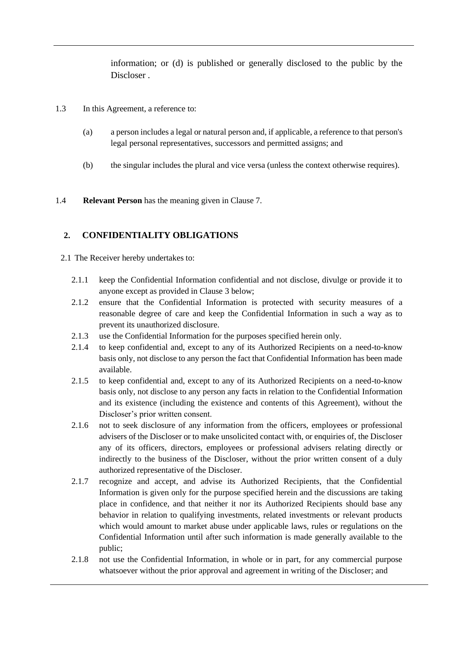information; or (d) is published or generally disclosed to the public by the Discloser .

- 1.3 In this Agreement, a reference to:
	- (a) a person includes a legal or natural person and, if applicable, a reference to that person's legal personal representatives, successors and permitted assigns; and
	- (b) the singular includes the plural and vice versa (unless the context otherwise requires).
- 1.4 **Relevant Person** has the meaning given in Clause 7.

### **2. CONFIDENTIALITY OBLIGATIONS**

2.1 The Receiver hereby undertakes to:

- 2.1.1 keep the Confidential Information confidential and not disclose, divulge or provide it to anyone except as provided in Clause [3 below;](#page-32-0)
- 2.1.2 ensure that the Confidential Information is protected with security measures of a reasonable degree of care and keep the Confidential Information in such a way as to prevent its unauthorized disclosure.
- 2.1.3 use the Confidential Information for the purposes specified herein only.
- 2.1.4 to keep confidential and, except to any of its Authorized Recipients on a need-to-know basis only, not disclose to any person the fact that Confidential Information has been made available.
- 2.1.5 to keep confidential and, except to any of its Authorized Recipients on a need-to-know basis only, not disclose to any person any facts in relation to the Confidential Information and its existence (including the existence and contents of this Agreement), without the Discloser's prior written consent.
- 2.1.6 not to seek disclosure of any information from the officers, employees or professional advisers of the Discloser or to make unsolicited contact with, or enquiries of, the Discloser any of its officers, directors, employees or professional advisers relating directly or indirectly to the business of the Discloser, without the prior written consent of a duly authorized representative of the Discloser.
- 2.1.7 recognize and accept, and advise its Authorized Recipients, that the Confidential Information is given only for the purpose specified herein and the discussions are taking place in confidence, and that neither it nor its Authorized Recipients should base any behavior in relation to qualifying investments, related investments or relevant products which would amount to market abuse under applicable laws, rules or regulations on the Confidential Information until after such information is made generally available to the public;
- 2.1.8 not use the Confidential Information, in whole or in part, for any commercial purpose whatsoever without the prior approval and agreement in writing of the Discloser; and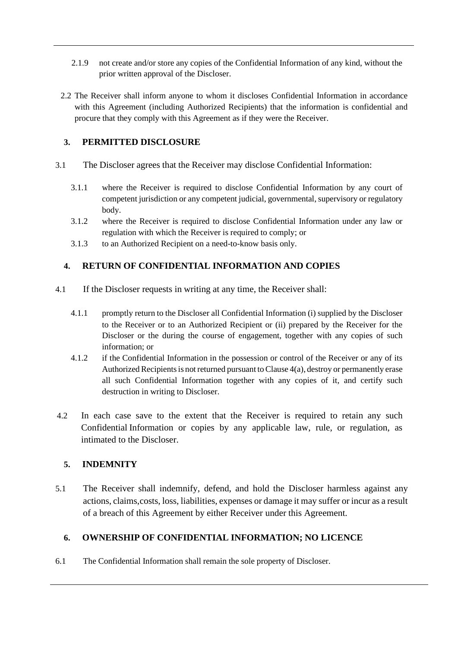- 2.1.9 not create and/or store any copies of the Confidential Information of any kind, without the prior written approval of the Discloser.
- 2.2 The Receiver shall inform anyone to whom it discloses Confidential Information in accordance with this Agreement (including Authorized Recipients) that the information is confidential and procure that they comply with this Agreement as if they were the Receiver.

# <span id="page-32-0"></span>**3. PERMITTED DISCLOSURE**

- 3.1 The Discloser agrees that the Receiver may disclose Confidential Information:
	- 3.1.1 where the Receiver is required to disclose Confidential Information by any court of competent jurisdiction or any competent judicial, governmental, supervisory or regulatory body.
	- 3.1.2 where the Receiver is required to disclose Confidential Information under any law or regulation with which the Receiver is required to comply; or
	- 3.1.3 to an Authorized Recipient on a need-to-know basis only.

# **4. RETURN OF CONFIDENTIAL INFORMATION AND COPIES**

- <span id="page-32-1"></span>4.1 If the Discloser requests in writing at any time, the Receiver shall:
	- 4.1.1 promptly return to the Discloser all Confidential Information (i) supplied by the Discloser to the Receiver or to an Authorized Recipient or (ii) prepared by the Receiver for the Discloser or the during the course of engagement, together with any copies of such information; or
	- 4.1.2 if the Confidential Information in the possession or control of the Receiver or any of its Authorized Recipients is not returned pursuant to Clause  $4(a)$ , destroy or permanently erase all such Confidential Information together with any copies of it, and certify such destruction in writing to Discloser.
- 4.2 In each case save to the extent that the Receiver is required to retain any such Confidential Information or copies by any applicable law, rule, or regulation, as intimated to the Discloser.

### **5. INDEMNITY**

5.1 The Receiver shall indemnify, defend, and hold the Discloser harmless against any actions, claims,costs, loss, liabilities, expenses or damage it may suffer or incur as a result of a breach of this Agreement by either Receiver under this Agreement.

# **6. OWNERSHIP OF CONFIDENTIAL INFORMATION; NO LICENCE**

6.1 The Confidential Information shall remain the sole property of Discloser.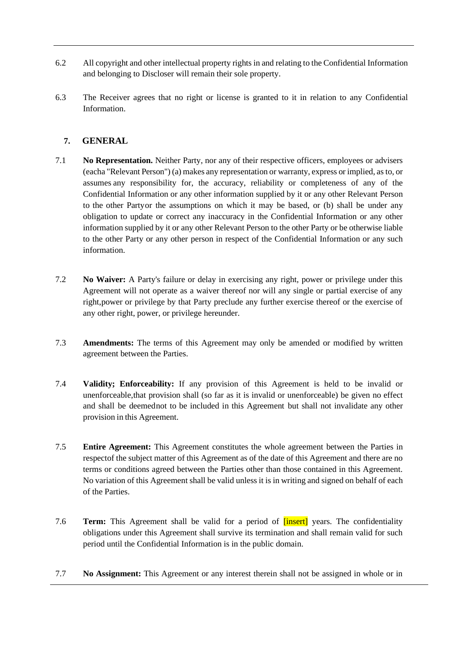- 6.2 All copyright and other intellectual property rights in and relating to the Confidential Information and belonging to Discloser will remain their sole property.
- 6.3 The Receiver agrees that no right or license is granted to it in relation to any Confidential Information.

### **7. GENERAL**

- 7.1 **No Representation.** Neither Party, nor any of their respective officers, employees or advisers (eacha "Relevant Person") (a) makes any representation or warranty, express or implied, as to, or assumes any responsibility for, the accuracy, reliability or completeness of any of the Confidential Information or any other information supplied by it or any other Relevant Person to the other Partyor the assumptions on which it may be based, or (b) shall be under any obligation to update or correct any inaccuracy in the Confidential Information or any other information supplied by it or any other Relevant Person to the other Party or be otherwise liable to the other Party or any other person in respect of the Confidential Information or any such information.
- 7.2 **No Waiver:** A Party's failure or delay in exercising any right, power or privilege under this Agreement will not operate as a waiver thereof nor will any single or partial exercise of any right,power or privilege by that Party preclude any further exercise thereof or the exercise of any other right, power, or privilege hereunder.
- 7.3 **Amendments:** The terms of this Agreement may only be amended or modified by written agreement between the Parties.
- 7.4 **Validity; Enforceability:** If any provision of this Agreement is held to be invalid or unenforceable,that provision shall (so far as it is invalid or unenforceable) be given no effect and shall be deemednot to be included in this Agreement but shall not invalidate any other provision in this Agreement.
- 7.5 **Entire Agreement:** This Agreement constitutes the whole agreement between the Parties in respectof the subject matter of this Agreement as of the date of this Agreement and there are no terms or conditions agreed between the Parties other than those contained in this Agreement. No variation of this Agreement shall be valid unless it is in writing and signed on behalf of each of the Parties.
- 7.6 **Term:** This Agreement shall be valid for a period of [insert] years. The confidentiality obligations under this Agreement shall survive its termination and shall remain valid for such period until the Confidential Information is in the public domain.
- 7.7 **No Assignment:** This Agreement or any interest therein shall not be assigned in whole or in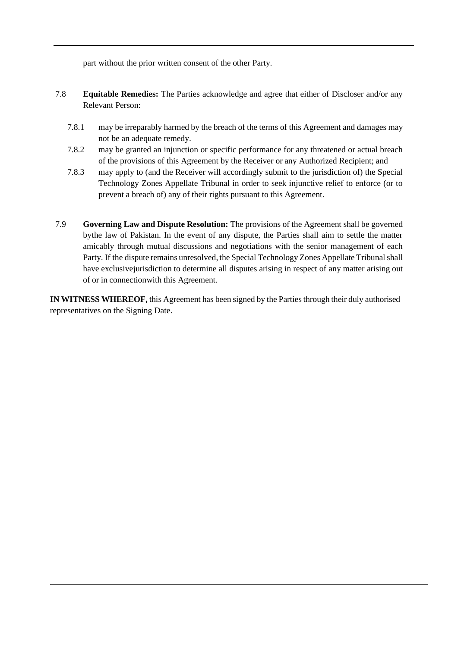part without the prior written consent of the other Party.

- 7.8 **Equitable Remedies:** The Parties acknowledge and agree that either of Discloser and/or any Relevant Person:
	- 7.8.1 may be irreparably harmed by the breach of the terms of this Agreement and damages may not be an adequate remedy.
	- 7.8.2 may be granted an injunction or specific performance for any threatened or actual breach of the provisions of this Agreement by the Receiver or any Authorized Recipient; and
	- 7.8.3 may apply to (and the Receiver will accordingly submit to the jurisdiction of) the Special Technology Zones Appellate Tribunal in order to seek injunctive relief to enforce (or to prevent a breach of) any of their rights pursuant to this Agreement.
- 7.9 **Governing Law and Dispute Resolution:** The provisions of the Agreement shall be governed bythe law of Pakistan. In the event of any dispute, the Parties shall aim to settle the matter amicably through mutual discussions and negotiations with the senior management of each Party. If the dispute remains unresolved, the Special Technology Zones Appellate Tribunal shall have exclusivejurisdiction to determine all disputes arising in respect of any matter arising out of or in connectionwith this Agreement.

**IN WITNESS WHEREOF,** this Agreement has been signed by the Parties through their duly authorised representatives on the Signing Date.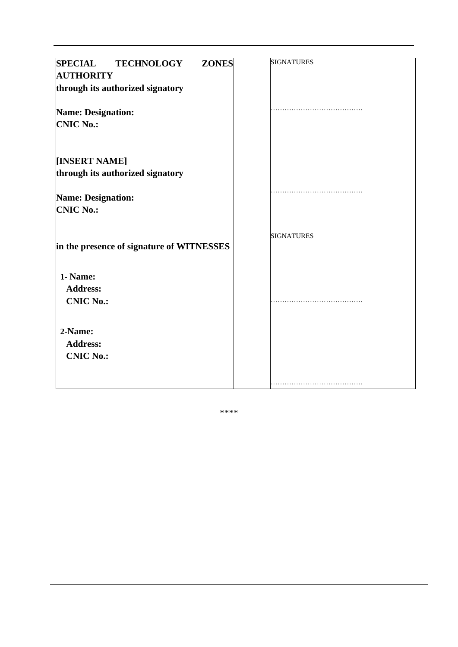| <b>SPECIAL</b><br><b>ZONES</b><br><b>TECHNOLOGY</b><br><b>AUTHORITY</b><br>through its authorized signatory | <b>SIGNATURES</b> |
|-------------------------------------------------------------------------------------------------------------|-------------------|
| <b>Name: Designation:</b><br><b>CNIC No.:</b>                                                               |                   |
| [INSERT NAME]<br>through its authorized signatory                                                           |                   |
| <b>Name: Designation:</b><br><b>CNIC No.:</b>                                                               |                   |
| in the presence of signature of WITNESSES                                                                   | <b>SIGNATURES</b> |
| 1- Name:<br><b>Address:</b><br><b>CNIC No.:</b>                                                             |                   |
| 2-Name:<br><b>Address:</b><br><b>CNIC No.:</b>                                                              |                   |
|                                                                                                             |                   |

\*\*\*\*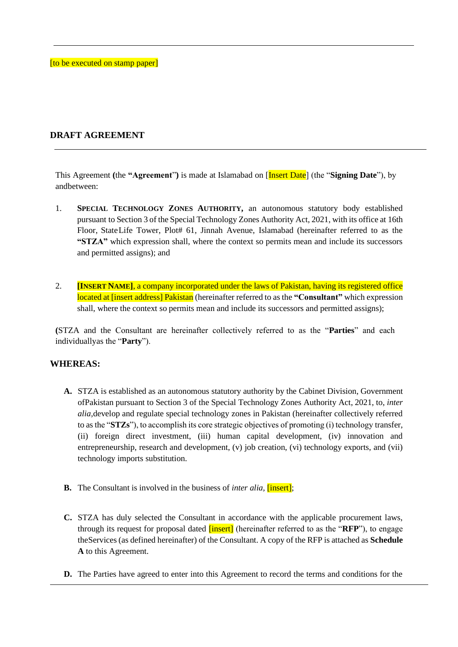[to be executed on stamp paper]

### **DRAFT AGREEMENT**

This Agreement **(**the **"Agreement**"**)** is made at Islamabad on [Insert Date] (the "**Signing Date**"), by andbetween:

- 1. **SPECIAL TECHNOLOGY ZONES AUTHORITY,** an autonomous statutory body established pursuant to Section 3 of the Special Technology Zones Authority Act, 2021, with its office at 16th Floor, StateLife Tower, Plot# 61, Jinnah Avenue, Islamabad (hereinafter referred to as the **"STZA"** which expression shall, where the context so permits mean and include its successors and permitted assigns); and
- 2. **[INSERT NAME]**, a company incorporated under the laws of Pakistan, having its registered office located at [insert address] Pakistan (hereinafter referred to as the **"Consultant"** which expression shall, where the context so permits mean and include its successors and permitted assigns);

**(**STZA and the Consultant are hereinafter collectively referred to as the "**Parties**" and each individuallyas the "**Party**").

### **WHEREAS:**

- **A.** STZA is established as an autonomous statutory authority by the Cabinet Division, Government ofPakistan pursuant to Section 3 of the Special Technology Zones Authority Act, 2021, to, *inter alia,*develop and regulate special technology zones in Pakistan (hereinafter collectively referred to as the "**STZs**"), to accomplish its core strategic objectives of promoting (i) technology transfer, (ii) foreign direct investment, (iii) human capital development, (iv) innovation and entrepreneurship, research and development, (v) job creation, (vi) technology exports, and (vii) technology imports substitution.
- **B.** The Consultant is involved in the business of *inter alia,* [insert];
- **C.** STZA has duly selected the Consultant in accordance with the applicable procurement laws, through its request for proposal dated [insert] (hereinafter referred to as the "**RFP**"), to engage theServices (as defined hereinafter) of the Consultant. A copy of the RFP is attached as **Schedule A** to this Agreement.
- **D.** The Parties have agreed to enter into this Agreement to record the terms and conditions for the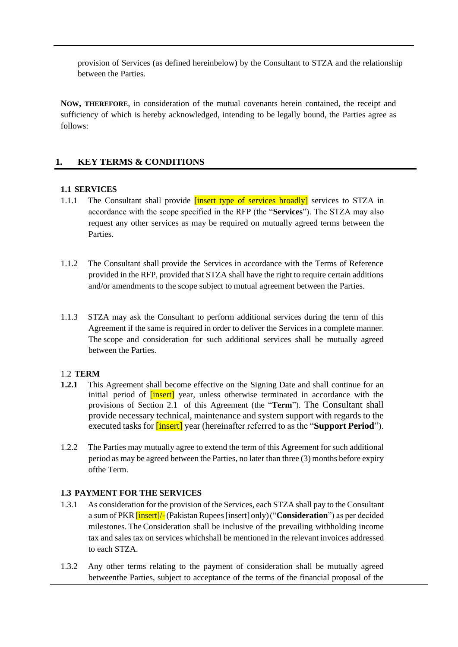provision of Services (as defined hereinbelow) by the Consultant to STZA and the relationship between the Parties.

**NOW, THEREFORE**, in consideration of the mutual covenants herein contained, the receipt and sufficiency of which is hereby acknowledged, intending to be legally bound, the Parties agree as follows:

### **1. KEY TERMS & CONDITIONS**

### **1.1 SERVICES**

- 1.1.1 The Consultant shall provide *consumert* type of services broadly services to STZA in accordance with the scope specified in the RFP (the "**Services**"). The STZA may also request any other services as may be required on mutually agreed terms between the **Parties**
- 1.1.2 The Consultant shall provide the Services in accordance with the Terms of Reference provided in the RFP, provided that STZA shall have the right to require certain additions and/or amendments to the scope subject to mutual agreement between the Parties.
- 1.1.3 STZA may ask the Consultant to perform additional services during the term of this Agreement if the same is required in order to deliver the Services in a complete manner. The scope and consideration for such additional services shall be mutually agreed between the Parties.

### 1.2 **TERM**

- **1.2.1** This Agreement shall become effective on the Signing Date and shall continue for an initial period of *[insert]* year, unless otherwise terminated in accordance with the provisions of Section 2.1 of this Agreement (the "**Term**"). The Consultant shall provide necessary technical, maintenance and system support with regards to the executed tasks for [insert] year (hereinafter referred to as the "**Support Period**").
- 1.2.2 The Parties may mutually agree to extend the term of this Agreement for such additional period as may be agreed between the Parties, no later than three (3) months before expiry ofthe Term.

### **1.3 PAYMENT FOR THE SERVICES**

- 1.3.1 As consideration for the provision of the Services, each STZA shall pay to the Consultant a sum of PKR[insert]/-(PakistanRupees[insert] only)("**Consideration**") as per decided milestones. The Consideration shall be inclusive of the prevailing withholding income tax and sales tax on services whichshall be mentioned in the relevant invoices addressed to each STZA.
- 1.3.2 Any other terms relating to the payment of consideration shall be mutually agreed betweenthe Parties, subject to acceptance of the terms of the financial proposal of the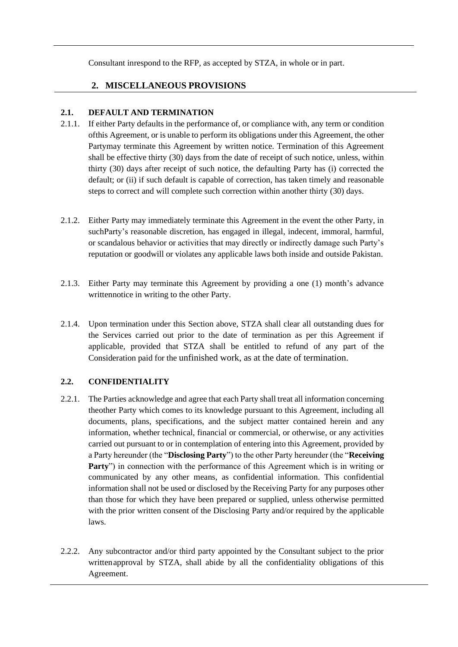Consultant inrespond to the RFP, as accepted by STZA, in whole or in part.

### **2. MISCELLANEOUS PROVISIONS**

### **2.1. DEFAULT AND TERMINATION**

- 2.1.1. If either Party defaults in the performance of, or compliance with, any term or condition ofthis Agreement, or is unable to perform its obligations under this Agreement, the other Partymay terminate this Agreement by written notice. Termination of this Agreement shall be effective thirty (30) days from the date of receipt of such notice, unless, within thirty (30) days after receipt of such notice, the defaulting Party has (i) corrected the default; or (ii) if such default is capable of correction, has taken timely and reasonable steps to correct and will complete such correction within another thirty (30) days.
- 2.1.2. Either Party may immediately terminate this Agreement in the event the other Party, in suchParty's reasonable discretion, has engaged in illegal, indecent, immoral, harmful, or scandalous behavior or activities that may directly or indirectly damage such Party's reputation or goodwill or violates any applicable laws both inside and outside Pakistan.
- 2.1.3. Either Party may terminate this Agreement by providing a one (1) month's advance writtennotice in writing to the other Party.
- 2.1.4. Upon termination under this Section above, STZA shall clear all outstanding dues for the Services carried out prior to the date of termination as per this Agreement if applicable, provided that STZA shall be entitled to refund of any part of the Consideration paid for the unfinished work, as at the date of termination.

### **2.2. CONFIDENTIALITY**

- 2.2.1. The Parties acknowledge and agree that each Party shall treat all information concerning theother Party which comes to its knowledge pursuant to this Agreement, including all documents, plans, specifications, and the subject matter contained herein and any information, whether technical, financial or commercial, or otherwise, or any activities carried out pursuant to or in contemplation of entering into this Agreement, provided by a Party hereunder (the "**Disclosing Party**") to the other Party hereunder (the "**Receiving Party**") in connection with the performance of this Agreement which is in writing or communicated by any other means, as confidential information. This confidential information shall not be used or disclosed by the Receiving Party for any purposes other than those for which they have been prepared or supplied, unless otherwise permitted with the prior written consent of the Disclosing Party and/or required by the applicable laws.
- 2.2.2. Any subcontractor and/or third party appointed by the Consultant subject to the prior writtenapproval by STZA, shall abide by all the confidentiality obligations of this Agreement.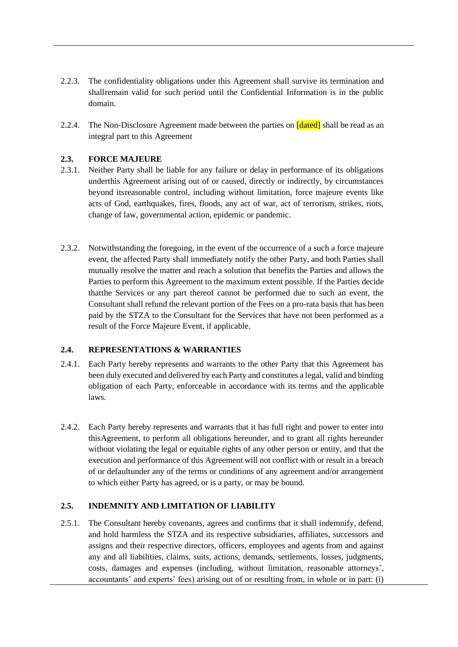- 2.2.3. The confidentiality obligations under this Agreement shall survive its termination and shallremain valid for such period until the Confidential Information is in the public domain.
- 2.2.4. The Non-Disclosure Agreement made between the parties on **[dated]** shall be read as an integral part to this Agreement

### **2.3. FORCE MAJEURE**

- 2.3.1. Neither Party shall be liable for any failure or delay in performance of its obligations underthis Agreement arising out of or caused, directly or indirectly, by circumstances beyond itsreasonable control, including without limitation, force majeure events like acts of God, earthquakes, fires, floods, any act of war, act of terrorism, strikes, riots, change of law, governmental action, epidemic or pandemic.
- 2.3.2. Notwithstanding the foregoing, in the event of the occurrence of a such a force majeure event, the affected Party shall immediately notify the other Party, and both Parties shall mutually resolve the matter and reach a solution that benefits the Parties and allows the Parties to perform this Agreement to the maximum extent possible. If the Parties decide thatthe Services or any part thereof cannot be performed due to such an event, the Consultant shall refund the relevant portion of the Fees on a pro-rata basis that has been paid by the STZA to the Consultant for the Services that have not been performed as a result of the Force Majeure Event, if applicable.

### **2.4. REPRESENTATIONS & WARRANTIES**

- 2.4.1. Each Party hereby represents and warrants to the other Party that this Agreement has been duly executed and delivered by each Party and constitutes a legal, valid and binding obligation of each Party, enforceable in accordance with its terms and the applicable laws.
- 2.4.2. Each Party hereby represents and warrants that it has full right and power to enter into thisAgreement, to perform all obligations hereunder, and to grant all rights hereunder without violating the legal or equitable rights of any other person or entity, and that the execution and performance of this Agreement will not conflict with or result in a breach of or defaultunder any of the terms or conditions of any agreement and/or arrangement to which either Party has agreed, or is a party, or may be bound.

### **2.5. INDEMNITY AND LIMITATION OF LIABILITY**

2.5.1. The Consultant hereby covenants, agrees and confirms that it shall indemnify, defend, and hold harmless the STZA and its respective subsidiaries, affiliates, successors and assigns and their respective directors, officers, employees and agents from and against any and all liabilities, claims, suits, actions, demands, settlements, losses, judgments, costs, damages and expenses (including, without limitation, reasonable attorneys', accountants' and experts' fees) arising out of or resulting from, in whole or in part: (i)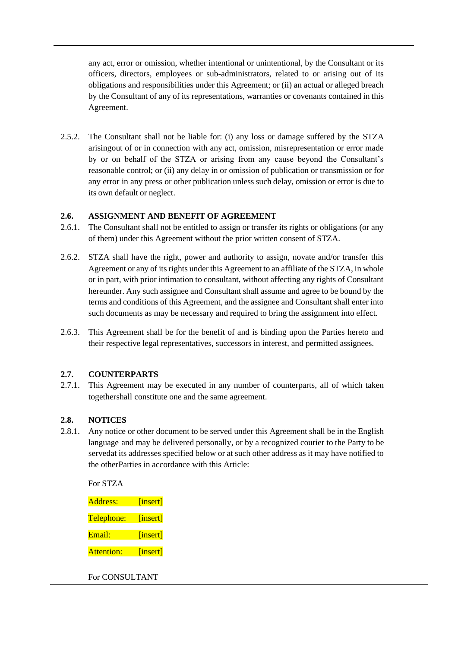any act, error or omission, whether intentional or unintentional, by the Consultant or its officers, directors, employees or sub-administrators, related to or arising out of its obligations and responsibilities under this Agreement; or (ii) an actual or alleged breach by the Consultant of any of its representations, warranties or covenants contained in this Agreement.

2.5.2. The Consultant shall not be liable for: (i) any loss or damage suffered by the STZA arisingout of or in connection with any act, omission, misrepresentation or error made by or on behalf of the STZA or arising from any cause beyond the Consultant's reasonable control; or (ii) any delay in or omission of publication or transmission or for any error in any press or other publication unless such delay, omission or error is due to its own default or neglect.

### **2.6. ASSIGNMENT AND BENEFIT OF AGREEMENT**

- 2.6.1. The Consultant shall not be entitled to assign or transfer its rights or obligations (or any of them) under this Agreement without the prior written consent of STZA.
- 2.6.2. STZA shall have the right, power and authority to assign, novate and/or transfer this Agreement or any of its rights under this Agreement to an affiliate of the STZA, in whole or in part, with prior intimation to consultant, without affecting any rights of Consultant hereunder. Any such assignee and Consultant shall assume and agree to be bound by the terms and conditions of this Agreement, and the assignee and Consultant shall enter into such documents as may be necessary and required to bring the assignment into effect.
- 2.6.3. This Agreement shall be for the benefit of and is binding upon the Parties hereto and their respective legal representatives, successors in interest, and permitted assignees.

### **2.7. COUNTERPARTS**

2.7.1. This Agreement may be executed in any number of counterparts, all of which taken togethershall constitute one and the same agreement.

### **2.8. NOTICES**

2.8.1. Any notice or other document to be served under this Agreement shall be in the English language and may be delivered personally, or by a recognized courier to the Party to be servedat its addresses specified below or at such other address as it may have notified to the otherParties in accordance with this Article:

For STZA Address: [insert] Telephone: [insert] Email: [insert] Attention: [insert]

For CONSULTANT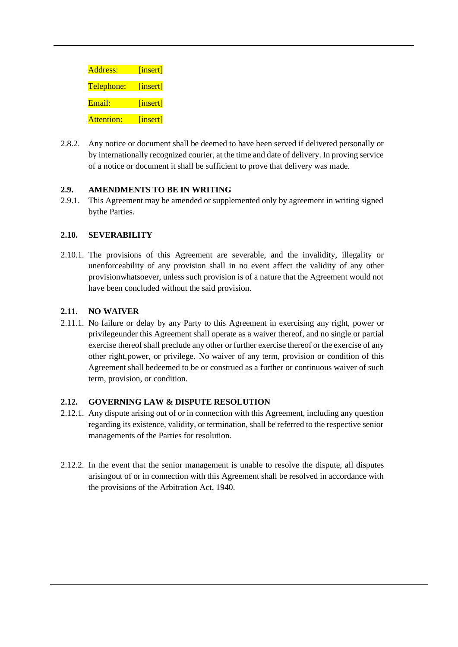| Address:   | [insert] |
|------------|----------|
| Telephone: | [insert] |
| $E$ mail·  | [insert] |
| Attention: | [insert] |

2.8.2. Any notice or document shall be deemed to have been served if delivered personally or by internationally recognized courier, at the time and date of delivery. In proving service of a notice or document it shall be sufficient to prove that delivery was made.

### **2.9. AMENDMENTS TO BE IN WRITING**

2.9.1. This Agreement may be amended or supplemented only by agreement in writing signed bythe Parties.

### **2.10. SEVERABILITY**

2.10.1. The provisions of this Agreement are severable, and the invalidity, illegality or unenforceability of any provision shall in no event affect the validity of any other provisionwhatsoever, unless such provision is of a nature that the Agreement would not have been concluded without the said provision.

### **2.11. NO WAIVER**

2.11.1. No failure or delay by any Party to this Agreement in exercising any right, power or privilegeunder this Agreement shall operate as a waiver thereof, and no single or partial exercise thereof shall preclude any other or further exercise thereof or the exercise of any other right,power, or privilege. No waiver of any term, provision or condition of this Agreement shall bedeemed to be or construed as a further or continuous waiver of such term, provision, or condition.

### **2.12. GOVERNING LAW & DISPUTE RESOLUTION**

- 2.12.1. Any dispute arising out of or in connection with this Agreement, including any question regarding its existence, validity, or termination, shall be referred to the respective senior managements of the Parties for resolution.
- 2.12.2. In the event that the senior management is unable to resolve the dispute, all disputes arisingout of or in connection with this Agreement shall be resolved in accordance with the provisions of the Arbitration Act, 1940.